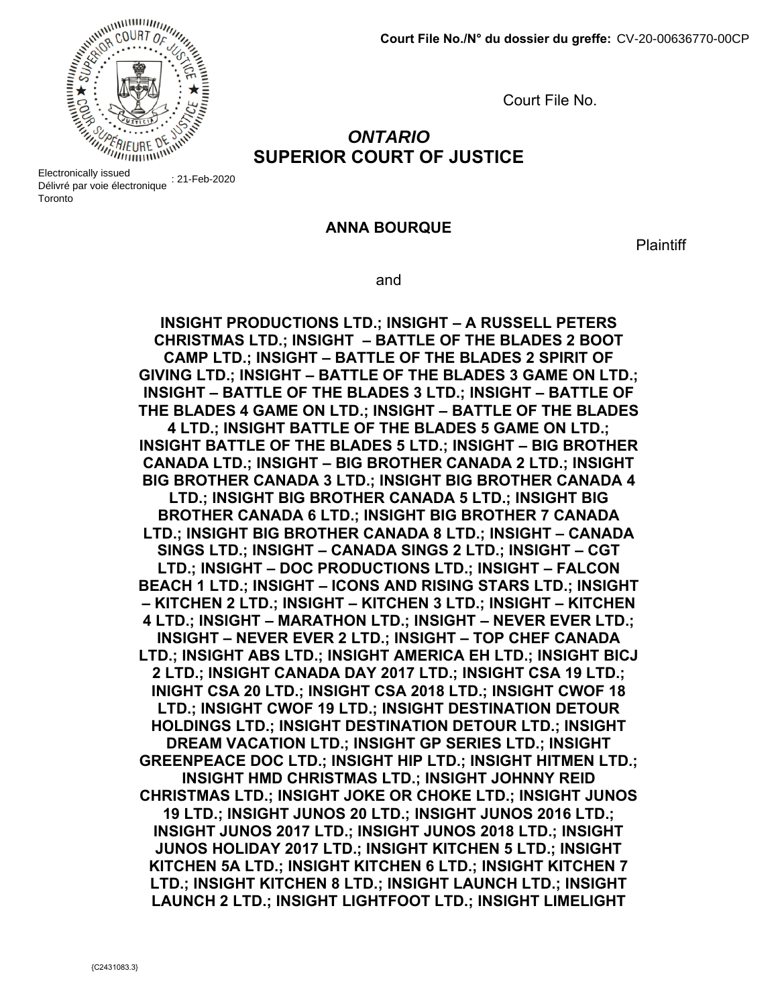

A DIE EIECHDING EI Délivré par voie électronique : 21-Feb-2020 **Toronto** 

Court File No.

## *ONTARIO* **SUPERIOR COURT OF JUSTICE**

#### **ANNA BOURQUE**

**Plaintiff** 

and

**INSIGHT PRODUCTIONS LTD.; INSIGHT – A RUSSELL PETERS CHRISTMAS LTD.; INSIGHT – BATTLE OF THE BLADES 2 BOOT CAMP LTD.; INSIGHT – BATTLE OF THE BLADES 2 SPIRIT OF GIVING LTD.; INSIGHT – BATTLE OF THE BLADES 3 GAME ON LTD.; INSIGHT – BATTLE OF THE BLADES 3 LTD.; INSIGHT – BATTLE OF THE BLADES 4 GAME ON LTD.; INSIGHT – BATTLE OF THE BLADES 4 LTD.; INSIGHT BATTLE OF THE BLADES 5 GAME ON LTD.; INSIGHT BATTLE OF THE BLADES 5 LTD.; INSIGHT – BIG BROTHER CANADA LTD.; INSIGHT – BIG BROTHER CANADA 2 LTD.; INSIGHT BIG BROTHER CANADA 3 LTD.; INSIGHT BIG BROTHER CANADA 4 LTD.; INSIGHT BIG BROTHER CANADA 5 LTD.; INSIGHT BIG BROTHER CANADA 6 LTD.; INSIGHT BIG BROTHER 7 CANADA LTD.; INSIGHT BIG BROTHER CANADA 8 LTD.; INSIGHT – CANADA SINGS LTD.; INSIGHT – CANADA SINGS 2 LTD.; INSIGHT – CGT LTD.; INSIGHT – DOC PRODUCTIONS LTD.; INSIGHT – FALCON BEACH 1 LTD.; INSIGHT – ICONS AND RISING STARS LTD.; INSIGHT – KITCHEN 2 LTD.; INSIGHT – KITCHEN 3 LTD.; INSIGHT – KITCHEN 4 LTD.; INSIGHT – MARATHON LTD.; INSIGHT – NEVER EVER LTD.; INSIGHT – NEVER EVER 2 LTD.; INSIGHT – TOP CHEF CANADA LTD.; INSIGHT ABS LTD.; INSIGHT AMERICA EH LTD.; INSIGHT BICJ 2 LTD.; INSIGHT CANADA DAY 2017 LTD.; INSIGHT CSA 19 LTD.; INIGHT CSA 20 LTD.; INSIGHT CSA 2018 LTD.; INSIGHT CWOF 18 LTD.; INSIGHT CWOF 19 LTD.; INSIGHT DESTINATION DETOUR HOLDINGS LTD.; INSIGHT DESTINATION DETOUR LTD.; INSIGHT DREAM VACATION LTD.; INSIGHT GP SERIES LTD.; INSIGHT GREENPEACE DOC LTD.; INSIGHT HIP LTD.; INSIGHT HITMEN LTD.; INSIGHT HMD CHRISTMAS LTD.; INSIGHT JOHNNY REID CHRISTMAS LTD.; INSIGHT JOKE OR CHOKE LTD.; INSIGHT JUNOS 19 LTD.; INSIGHT JUNOS 20 LTD.; INSIGHT JUNOS 2016 LTD.; INSIGHT JUNOS 2017 LTD.; INSIGHT JUNOS 2018 LTD.; INSIGHT JUNOS HOLIDAY 2017 LTD.; INSIGHT KITCHEN 5 LTD.; INSIGHT KITCHEN 5A LTD.; INSIGHT KITCHEN 6 LTD.; INSIGHT KITCHEN 7 LTD.; INSIGHT KITCHEN 8 LTD.; INSIGHT LAUNCH LTD.; INSIGHT LAUNCH 2 LTD.; INSIGHT LIGHTFOOT LTD.; INSIGHT LIMELIGHT**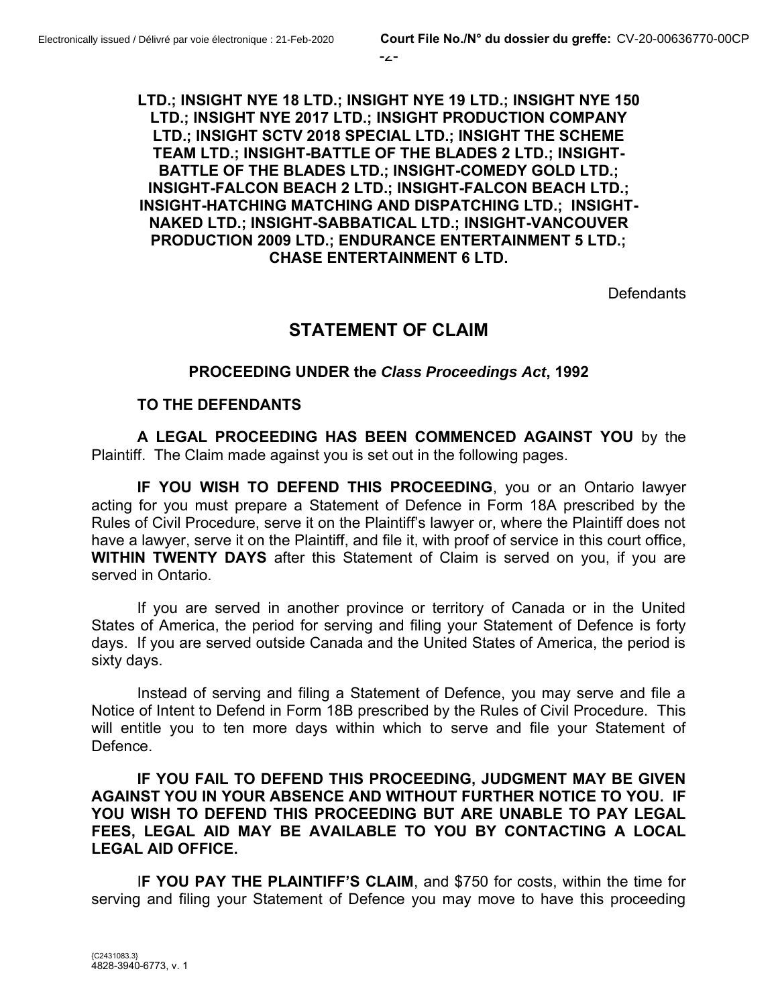**LTD.; INSIGHT NYE 18 LTD.; INSIGHT NYE 19 LTD.; INSIGHT NYE 150 LTD.; INSIGHT NYE 2017 LTD.; INSIGHT PRODUCTION COMPANY LTD.; INSIGHT SCTV 2018 SPECIAL LTD.; INSIGHT THE SCHEME TEAM LTD.; INSIGHT-BATTLE OF THE BLADES 2 LTD.; INSIGHT-BATTLE OF THE BLADES LTD.; INSIGHT-COMEDY GOLD LTD.; INSIGHT-FALCON BEACH 2 LTD.; INSIGHT-FALCON BEACH LTD.; INSIGHT-HATCHING MATCHING AND DISPATCHING LTD.; INSIGHT-NAKED LTD.; INSIGHT-SABBATICAL LTD.; INSIGHT-VANCOUVER PRODUCTION 2009 LTD.; ENDURANCE ENTERTAINMENT 5 LTD.; CHASE ENTERTAINMENT 6 LTD.**

**Defendants** 

## **STATEMENT OF CLAIM**

#### **PROCEEDING UNDER the** *Class Proceedings Act***, 1992**

#### **TO THE DEFENDANTS**

**A LEGAL PROCEEDING HAS BEEN COMMENCED AGAINST YOU** by the Plaintiff. The Claim made against you is set out in the following pages.

**IF YOU WISH TO DEFEND THIS PROCEEDING**, you or an Ontario lawyer acting for you must prepare a Statement of Defence in Form 18A prescribed by the Rules of Civil Procedure, serve it on the Plaintiff's lawyer or, where the Plaintiff does not have a lawyer, serve it on the Plaintiff, and file it, with proof of service in this court office, **WITHIN TWENTY DAYS** after this Statement of Claim is served on you, if you are served in Ontario.

If you are served in another province or territory of Canada or in the United States of America, the period for serving and filing your Statement of Defence is forty days. If you are served outside Canada and the United States of America, the period is sixty days.

Instead of serving and filing a Statement of Defence, you may serve and file a Notice of Intent to Defend in Form 18B prescribed by the Rules of Civil Procedure. This will entitle you to ten more days within which to serve and file your Statement of Defence.

**IF YOU FAIL TO DEFEND THIS PROCEEDING, JUDGMENT MAY BE GIVEN AGAINST YOU IN YOUR ABSENCE AND WITHOUT FURTHER NOTICE TO YOU. IF YOU WISH TO DEFEND THIS PROCEEDING BUT ARE UNABLE TO PAY LEGAL FEES, LEGAL AID MAY BE AVAILABLE TO YOU BY CONTACTING A LOCAL LEGAL AID OFFICE.**

I**F YOU PAY THE PLAINTIFF'S CLAIM**, and \$750 for costs, within the time for serving and filing your Statement of Defence you may move to have this proceeding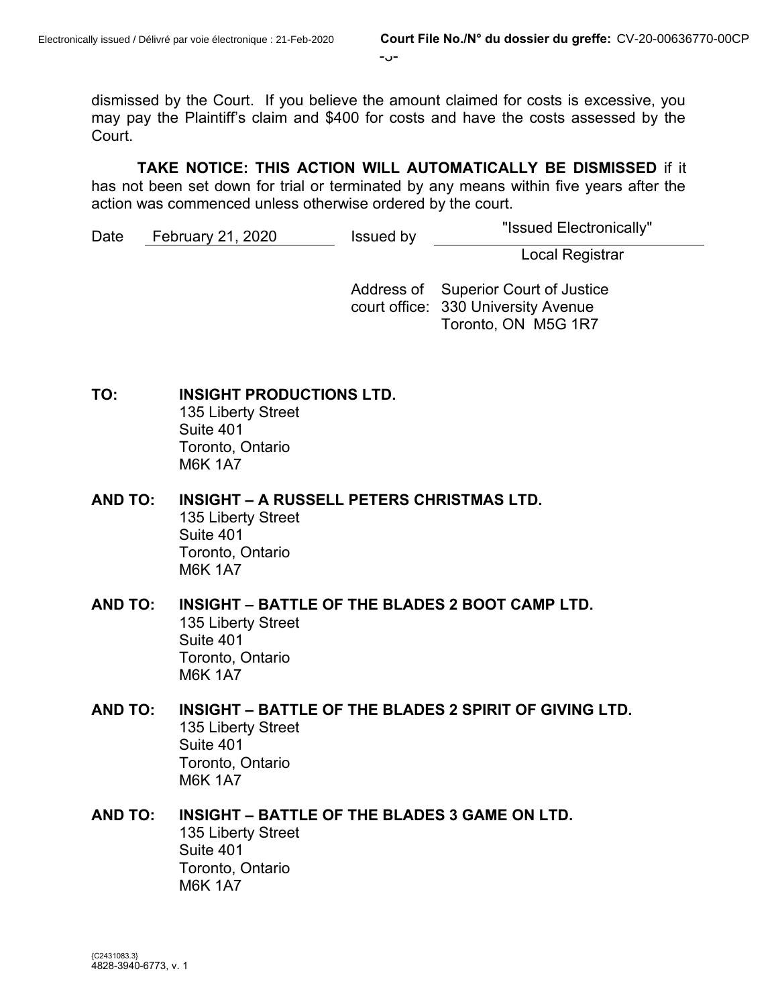$-3 -$ 

dismissed by the Court. If you believe the amount claimed for costs is excessive, you may pay the Plaintiff's claim and \$400 for costs and have the costs assessed by the Court.

**TAKE NOTICE: THIS ACTION WILL AUTOMATICALLY BE DISMISSED** if it

has not been set down for trial or terminated by any means within five years after the action was commenced unless otherwise ordered by the court.

Date February 21, 2020 Issued by "Issued Electronically"

Local Registrar

Address of Superior Court of Justice court office: 330 University Avenue Toronto, ON M5G 1R7

**TO: INSIGHT PRODUCTIONS LTD.**  135 Liberty Street Suite 401 Toronto, Ontario M6K 1A7

- **AND TO: INSIGHT – A RUSSELL PETERS CHRISTMAS LTD.** 135 Liberty Street Suite 401 Toronto, Ontario M6K 1A7
- **AND TO: INSIGHT – BATTLE OF THE BLADES 2 BOOT CAMP LTD.** 135 Liberty Street Suite 401 Toronto, Ontario M6K 1A7
- **AND TO: INSIGHT – BATTLE OF THE BLADES 2 SPIRIT OF GIVING LTD.** 135 Liberty Street Suite 401 Toronto, Ontario M6K 1A7
- **AND TO: INSIGHT – BATTLE OF THE BLADES 3 GAME ON LTD.** 135 Liberty Street Suite 401 Toronto, Ontario M6K 1A7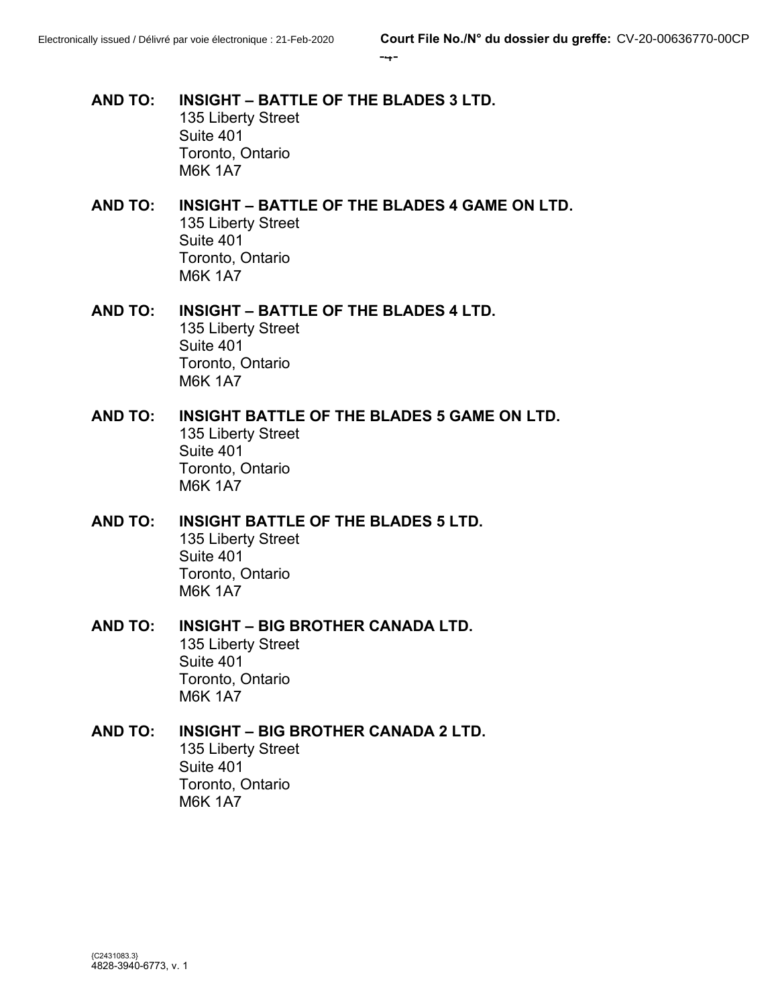#### -4-

- **AND TO: INSIGHT – BATTLE OF THE BLADES 3 LTD.** 135 Liberty Street Suite 401 Toronto, Ontario M6K 1A7
- **AND TO: INSIGHT – BATTLE OF THE BLADES 4 GAME ON LTD.** 135 Liberty Street Suite 401 Toronto, Ontario M6K 1A7
- **AND TO: INSIGHT – BATTLE OF THE BLADES 4 LTD.** 135 Liberty Street Suite 401 Toronto, Ontario M6K 1A7
- **AND TO: INSIGHT BATTLE OF THE BLADES 5 GAME ON LTD.** 135 Liberty Street Suite 401 Toronto, Ontario M6K 1A7
- **AND TO: INSIGHT BATTLE OF THE BLADES 5 LTD.** 135 Liberty Street Suite 401 Toronto, Ontario M6K 1A7
- **AND TO: INSIGHT – BIG BROTHER CANADA LTD.** 135 Liberty Street Suite 401 Toronto, Ontario M6K 1A7
- **AND TO: INSIGHT – BIG BROTHER CANADA 2 LTD.** 135 Liberty Street Suite 401 Toronto, Ontario M6K 1A7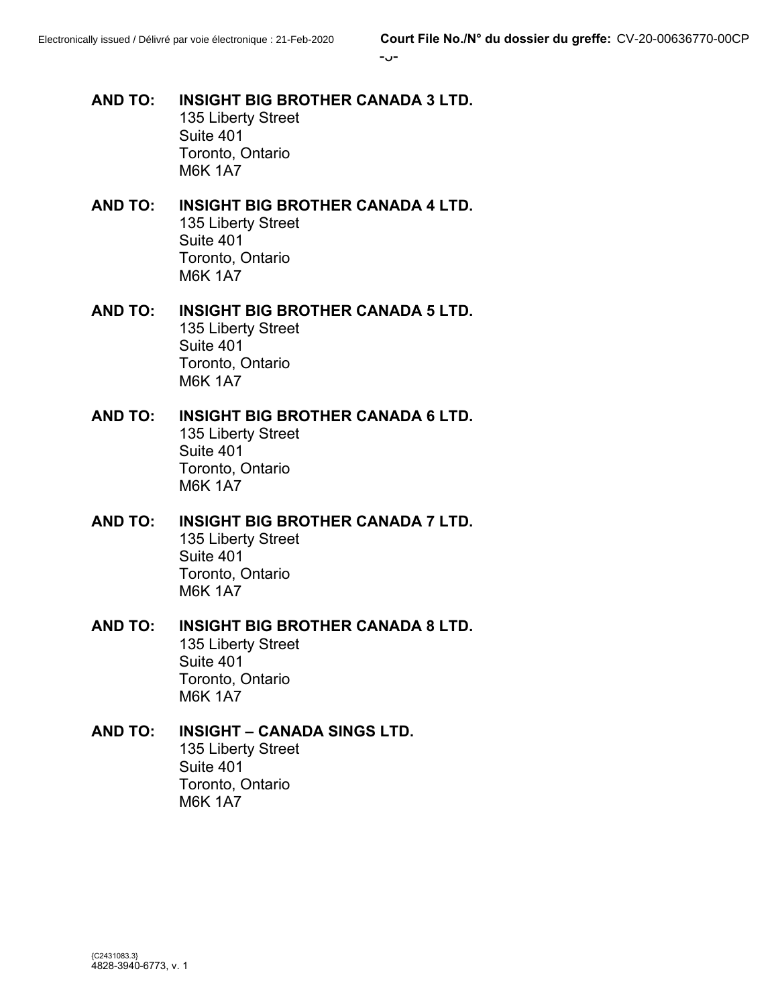- **AND TO: INSIGHT BIG BROTHER CANADA 3 LTD.** 135 Liberty Street Suite 401 Toronto, Ontario M6K 1A7
- **AND TO: INSIGHT BIG BROTHER CANADA 4 LTD.** 135 Liberty Street Suite 401 Toronto, Ontario M6K 1A7
- **AND TO: INSIGHT BIG BROTHER CANADA 5 LTD.** 135 Liberty Street Suite 401 Toronto, Ontario M6K 1A7
- **AND TO: INSIGHT BIG BROTHER CANADA 6 LTD.** 135 Liberty Street Suite 401 Toronto, Ontario M6K 1A7
- **AND TO: INSIGHT BIG BROTHER CANADA 7 LTD.** 135 Liberty Street Suite 401 Toronto, Ontario M6K 1A7
- **AND TO: INSIGHT BIG BROTHER CANADA 8 LTD.** 135 Liberty Street Suite 401 Toronto, Ontario M6K 1A7
- **AND TO: INSIGHT – CANADA SINGS LTD.** 135 Liberty Street Suite 401 Toronto, Ontario M6K 1A7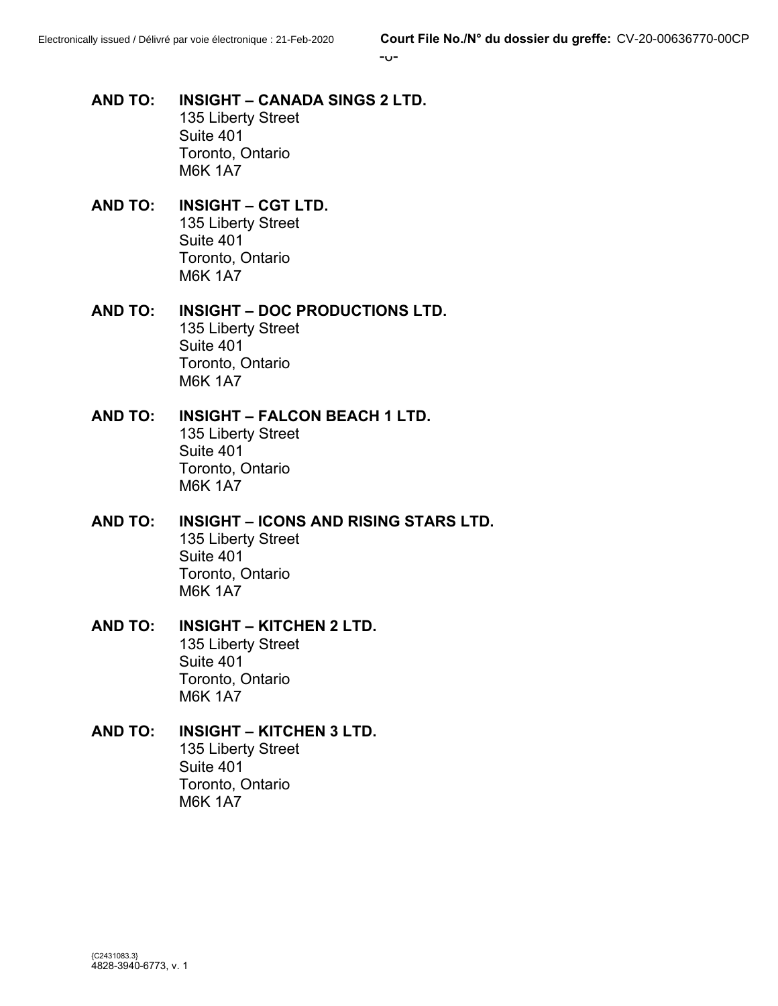- **AND TO: INSIGHT – CANADA SINGS 2 LTD.** 135 Liberty Street Suite 401 Toronto, Ontario M6K 1A7
- **AND TO: INSIGHT – CGT LTD.** 135 Liberty Street Suite 401 Toronto, Ontario M6K 1A7
- **AND TO: INSIGHT – DOC PRODUCTIONS LTD.** 135 Liberty Street Suite 401 Toronto, Ontario M6K 1A7
- **AND TO: INSIGHT – FALCON BEACH 1 LTD.** 135 Liberty Street Suite 401 Toronto, Ontario M6K 1A7
- **AND TO: INSIGHT – ICONS AND RISING STARS LTD.** 135 Liberty Street Suite 401 Toronto, Ontario M6K 1A7
- **AND TO: INSIGHT – KITCHEN 2 LTD.** 135 Liberty Street Suite 401 Toronto, Ontario M6K 1A7
- **AND TO: INSIGHT – KITCHEN 3 LTD.** 135 Liberty Street Suite 401 Toronto, Ontario M6K 1A7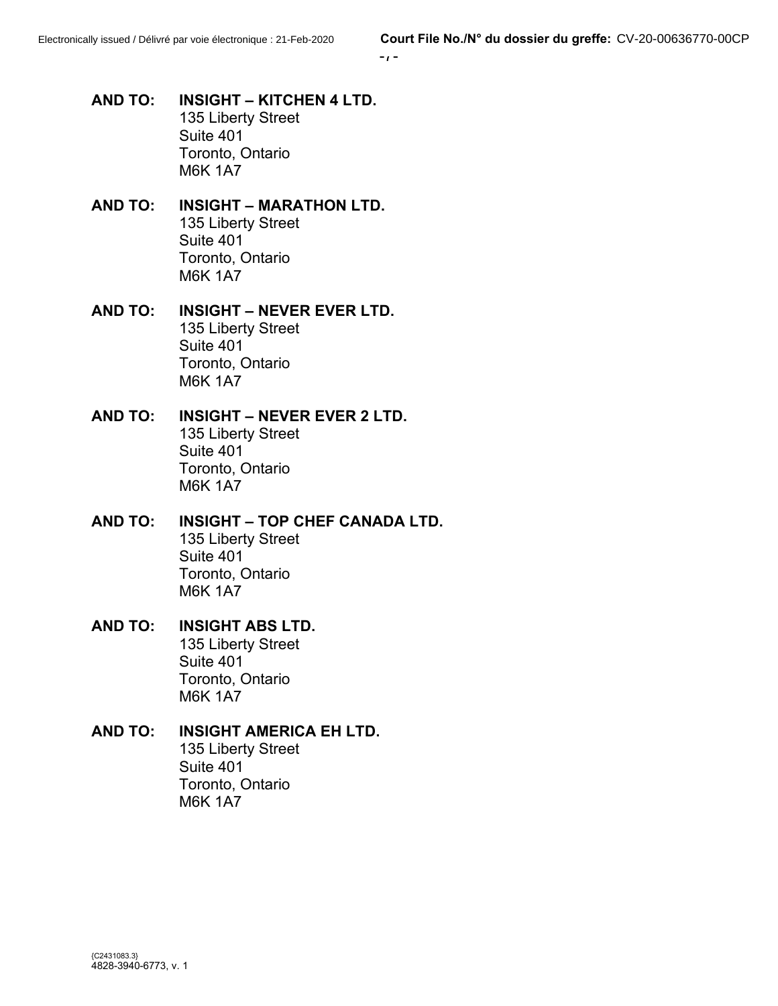$-1-$ 

- **AND TO: INSIGHT – KITCHEN 4 LTD.** 135 Liberty Street Suite 401 Toronto, Ontario M6K 1A7
- **AND TO: INSIGHT – MARATHON LTD.** 135 Liberty Street Suite 401 Toronto, Ontario M6K 1A7
- **AND TO: INSIGHT – NEVER EVER LTD.** 135 Liberty Street Suite 401 Toronto, Ontario M6K 1A7
- **AND TO: INSIGHT – NEVER EVER 2 LTD.** 135 Liberty Street Suite 401 Toronto, Ontario M6K 1A7
- **AND TO: INSIGHT – TOP CHEF CANADA LTD.** 135 Liberty Street Suite 401 Toronto, Ontario M6K 1A7
- **AND TO: INSIGHT ABS LTD.** 135 Liberty Street Suite 401 Toronto, Ontario M6K 1A7
- **AND TO: INSIGHT AMERICA EH LTD.** 135 Liberty Street Suite 401 Toronto, Ontario M6K 1A7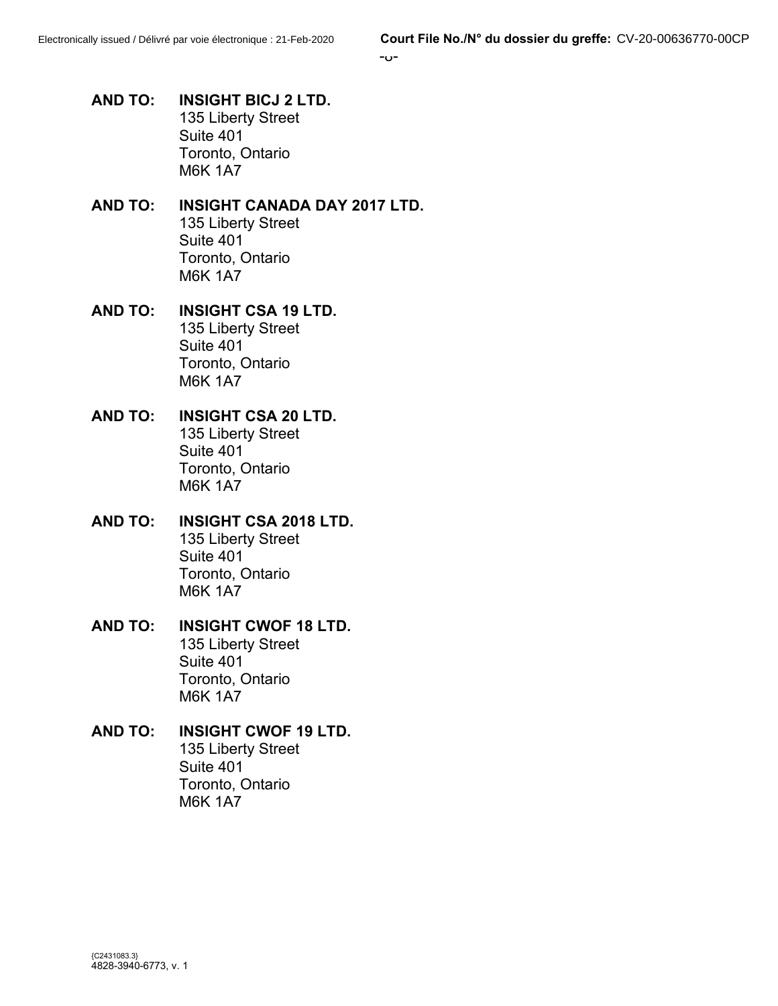- **AND TO: INSIGHT BICJ 2 LTD.** 135 Liberty Street Suite 401 Toronto, Ontario M6K 1A7
- **AND TO: INSIGHT CANADA DAY 2017 LTD.** 135 Liberty Street Suite 401 Toronto, Ontario M6K 1A7
- **AND TO: INSIGHT CSA 19 LTD.** 135 Liberty Street Suite 401 Toronto, Ontario M6K 1A7
- **AND TO: INSIGHT CSA 20 LTD.** 135 Liberty Street Suite 401 Toronto, Ontario M6K 1A7
- **AND TO: INSIGHT CSA 2018 LTD.** 135 Liberty Street Suite 401 Toronto, Ontario M6K 1A7
- **AND TO: INSIGHT CWOF 18 LTD.** 135 Liberty Street Suite 401 Toronto, Ontario M6K 1A7
- **AND TO: INSIGHT CWOF 19 LTD.** 135 Liberty Street Suite 401 Toronto, Ontario M6K 1A7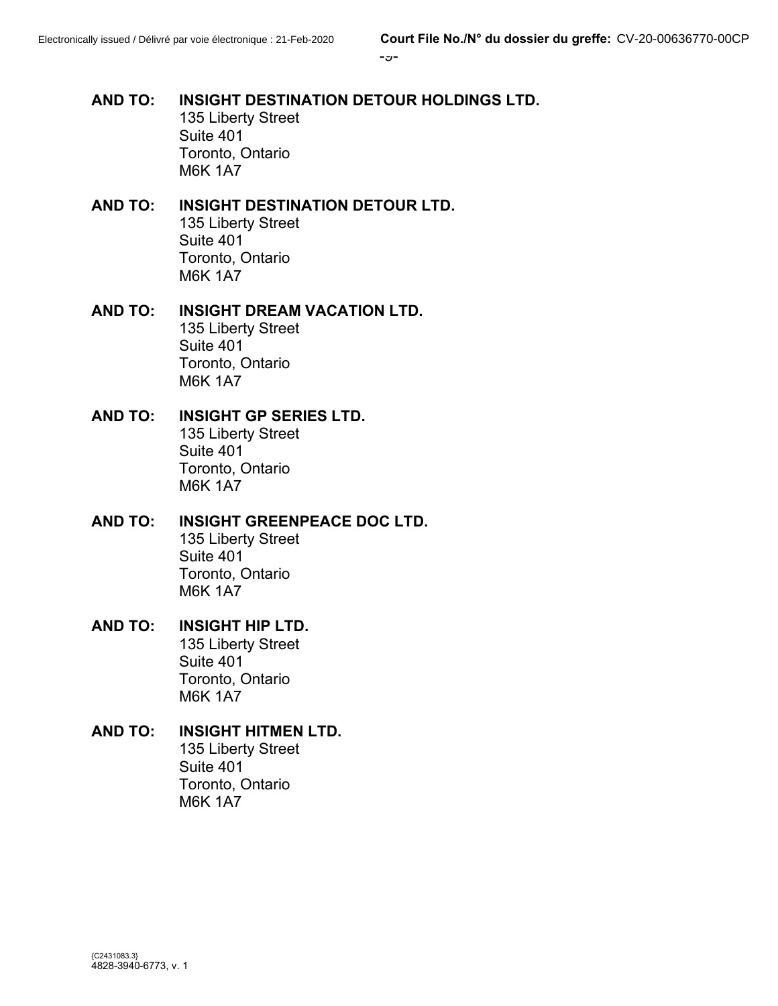## **AND TO: INSIGHT DESTINATION DETOUR HOLDINGS LTD.** 135 Liberty Street Suite 401 Toronto, Ontario M6K 1A7

#### **AND TO: INSIGHT DESTINATION DETOUR LTD.** 135 Liberty Street Suite 401 Toronto, Ontario M6K 1A7

#### **AND TO: INSIGHT DREAM VACATION LTD.** 135 Liberty Street Suite 401 Toronto, Ontario M6K 1A7

#### **AND TO: INSIGHT GP SERIES LTD.** 135 Liberty Street Suite 401 Toronto, Ontario M6K 1A7

#### **AND TO: INSIGHT GREENPEACE DOC LTD.** 135 Liberty Street Suite 401 Toronto, Ontario M6K 1A7

#### **AND TO: INSIGHT HIP LTD.** 135 Liberty Street Suite 401 Toronto, Ontario M6K 1A7

#### **AND TO: INSIGHT HITMEN LTD.** 135 Liberty Street Suite 401 Toronto, Ontario M6K 1A7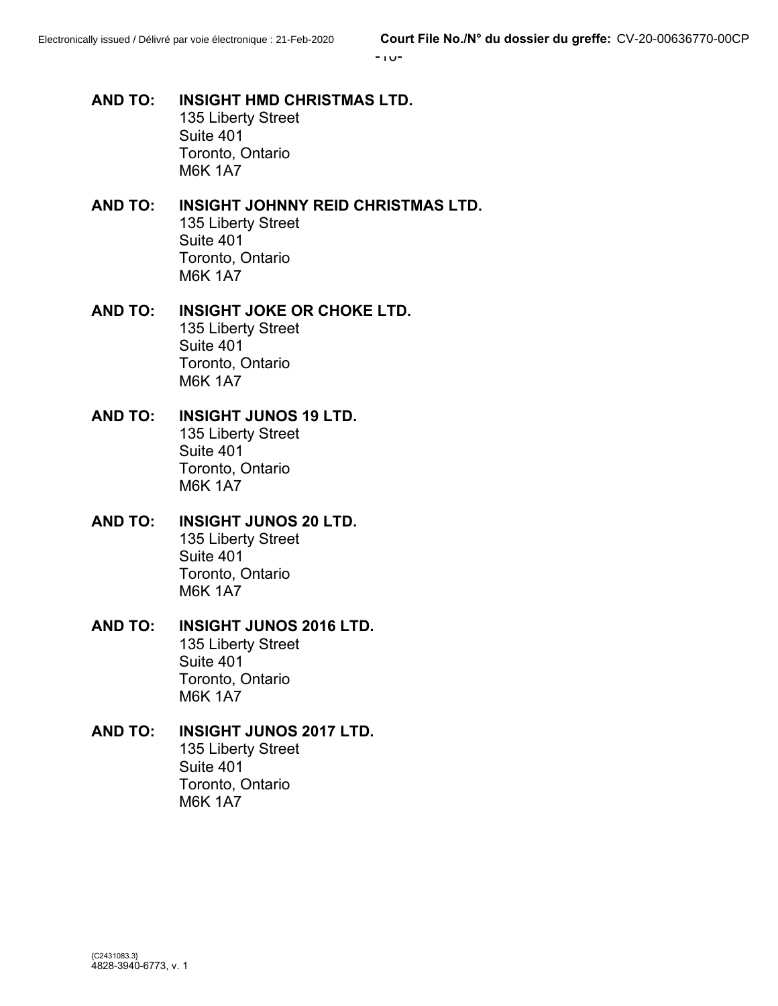-10-

- **AND TO: INSIGHT HMD CHRISTMAS LTD.** 135 Liberty Street Suite 401 Toronto, Ontario M6K 1A7
- **AND TO: INSIGHT JOHNNY REID CHRISTMAS LTD.** 135 Liberty Street Suite 401 Toronto, Ontario M6K 1A7
- **AND TO: INSIGHT JOKE OR CHOKE LTD.** 135 Liberty Street Suite 401 Toronto, Ontario M6K 1A7
- **AND TO: INSIGHT JUNOS 19 LTD.** 135 Liberty Street Suite 401 Toronto, Ontario M6K 1A7
- **AND TO: INSIGHT JUNOS 20 LTD.** 135 Liberty Street Suite 401 Toronto, Ontario M6K 1A7
- **AND TO: INSIGHT JUNOS 2016 LTD.** 135 Liberty Street Suite 401 Toronto, Ontario M6K 1A7
- **AND TO: INSIGHT JUNOS 2017 LTD.** 135 Liberty Street Suite 401 Toronto, Ontario M6K 1A7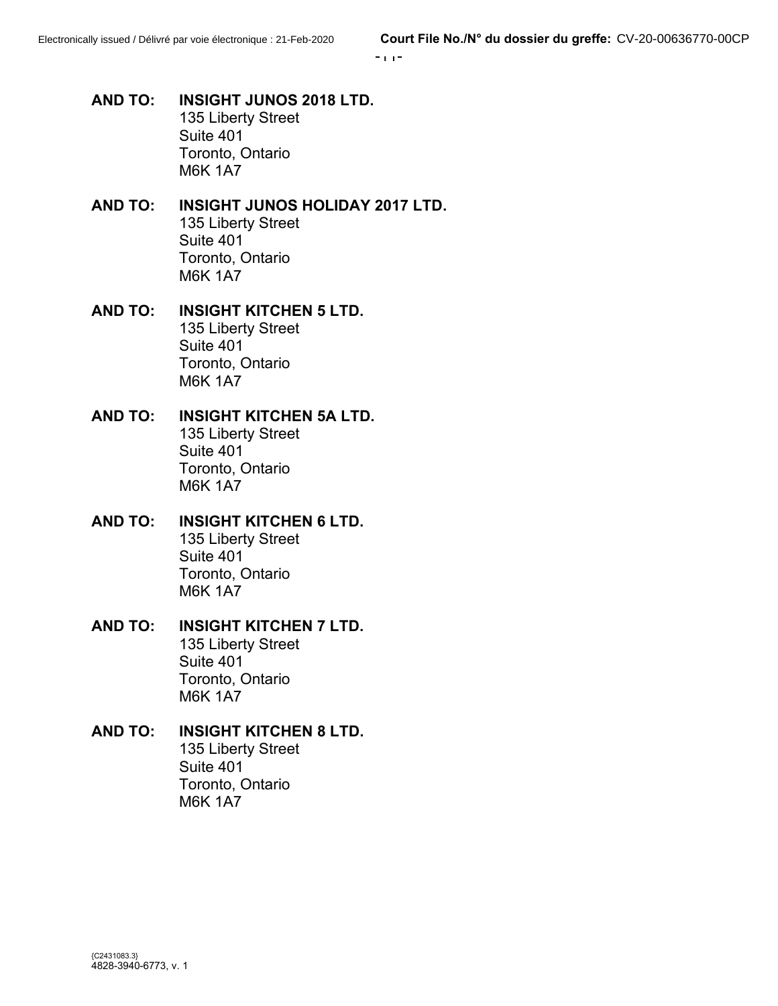-11-

- **AND TO: INSIGHT JUNOS 2018 LTD.** 135 Liberty Street Suite 401 Toronto, Ontario M6K 1A7
- **AND TO: INSIGHT JUNOS HOLIDAY 2017 LTD.** 135 Liberty Street Suite 401 Toronto, Ontario M6K 1A7
- **AND TO: INSIGHT KITCHEN 5 LTD.** 135 Liberty Street Suite 401 Toronto, Ontario M6K 1A7
- **AND TO: INSIGHT KITCHEN 5A LTD.** 135 Liberty Street Suite 401 Toronto, Ontario M6K 1A7
- **AND TO: INSIGHT KITCHEN 6 LTD.** 135 Liberty Street Suite 401 Toronto, Ontario M6K 1A7
- **AND TO: INSIGHT KITCHEN 7 LTD.** 135 Liberty Street Suite 401 Toronto, Ontario M6K 1A7
- **AND TO: INSIGHT KITCHEN 8 LTD.** 135 Liberty Street Suite 401 Toronto, Ontario M6K 1A7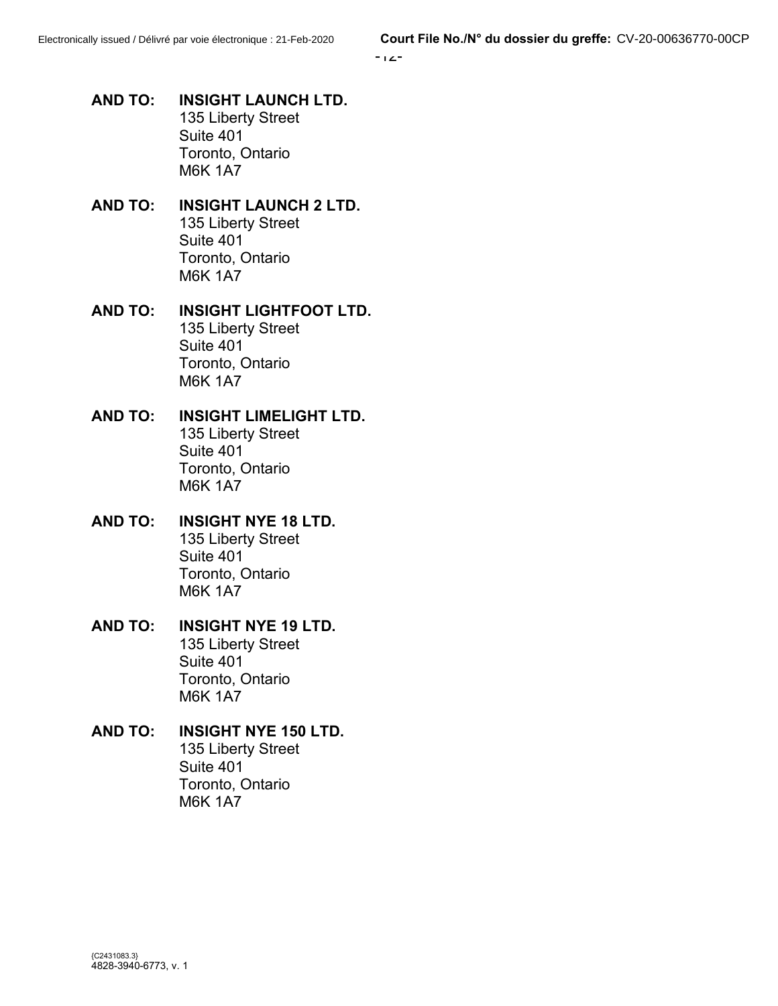-12-

- **AND TO: INSIGHT LAUNCH LTD.** 135 Liberty Street Suite 401 Toronto, Ontario M6K 1A7
- **AND TO: INSIGHT LAUNCH 2 LTD.** 135 Liberty Street Suite 401 Toronto, Ontario M6K 1A7
- **AND TO: INSIGHT LIGHTFOOT LTD.** 135 Liberty Street Suite 401 Toronto, Ontario M6K 1A7
- **AND TO: INSIGHT LIMELIGHT LTD.** 135 Liberty Street Suite 401 Toronto, Ontario M6K 1A7
- **AND TO: INSIGHT NYE 18 LTD.** 135 Liberty Street Suite 401 Toronto, Ontario M6K 1A7
- **AND TO: INSIGHT NYE 19 LTD.** 135 Liberty Street Suite 401 Toronto, Ontario M6K 1A7
- **AND TO: INSIGHT NYE 150 LTD.** 135 Liberty Street Suite 401 Toronto, Ontario M6K 1A7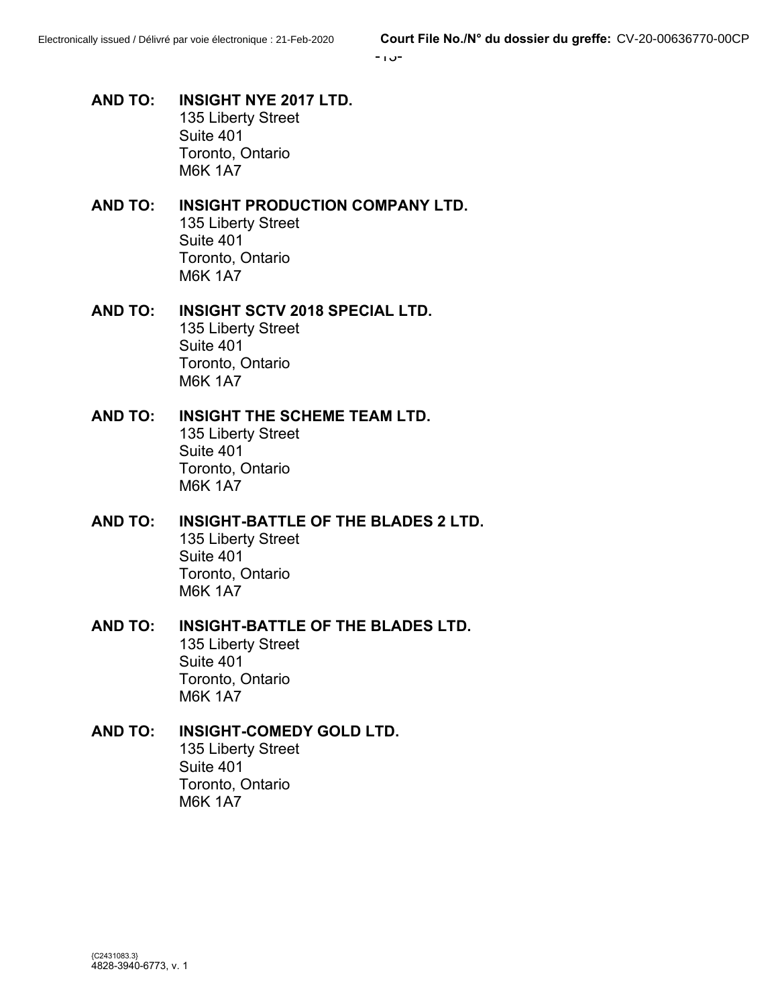-13-

- **AND TO: INSIGHT NYE 2017 LTD.** 135 Liberty Street Suite 401 Toronto, Ontario M6K 1A7
- **AND TO: INSIGHT PRODUCTION COMPANY LTD.** 135 Liberty Street Suite 401 Toronto, Ontario M6K 1A7
- **AND TO: INSIGHT SCTV 2018 SPECIAL LTD.** 135 Liberty Street Suite 401 Toronto, Ontario M6K 1A7
- **AND TO: INSIGHT THE SCHEME TEAM LTD.** 135 Liberty Street Suite 401 Toronto, Ontario M6K 1A7
- **AND TO: INSIGHT-BATTLE OF THE BLADES 2 LTD.** 135 Liberty Street Suite 401 Toronto, Ontario M6K 1A7
- **AND TO: INSIGHT-BATTLE OF THE BLADES LTD.** 135 Liberty Street Suite 401 Toronto, Ontario M6K 1A7

#### **AND TO: INSIGHT-COMEDY GOLD LTD.** 135 Liberty Street Suite 401 Toronto, Ontario M6K 1A7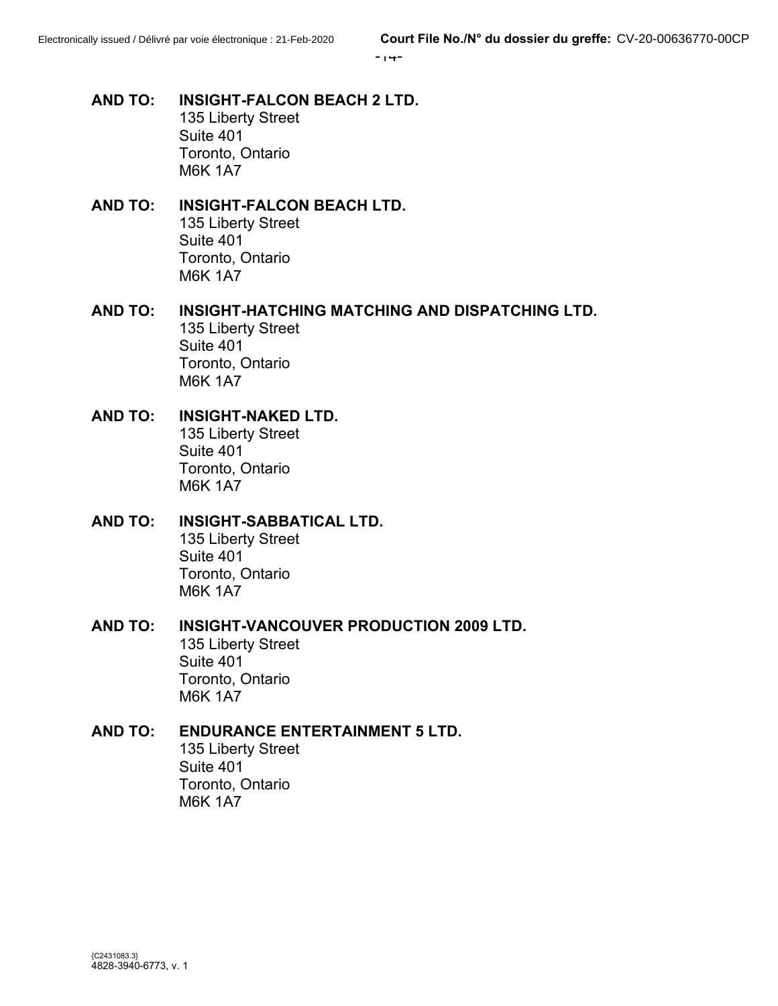-14-

- **AND TO: INSIGHT-FALCON BEACH 2 LTD.** 135 Liberty Street Suite 401 Toronto, Ontario M6K 1A7
- **AND TO: INSIGHT-FALCON BEACH LTD.** 135 Liberty Street Suite 401 Toronto, Ontario M6K 1A7
- **AND TO: INSIGHT-HATCHING MATCHING AND DISPATCHING LTD.** 135 Liberty Street Suite 401 Toronto, Ontario M6K 1A7
- **AND TO: INSIGHT-NAKED LTD.** 135 Liberty Street Suite 401 Toronto, Ontario M6K 1A7
- **AND TO: INSIGHT-SABBATICAL LTD.** 135 Liberty Street Suite 401 Toronto, Ontario M6K 1A7
- **AND TO: INSIGHT-VANCOUVER PRODUCTION 2009 LTD.** 135 Liberty Street Suite 401 Toronto, Ontario M6K 1A7
- **AND TO: ENDURANCE ENTERTAINMENT 5 LTD.** 135 Liberty Street Suite 401 Toronto, Ontario M6K 1A7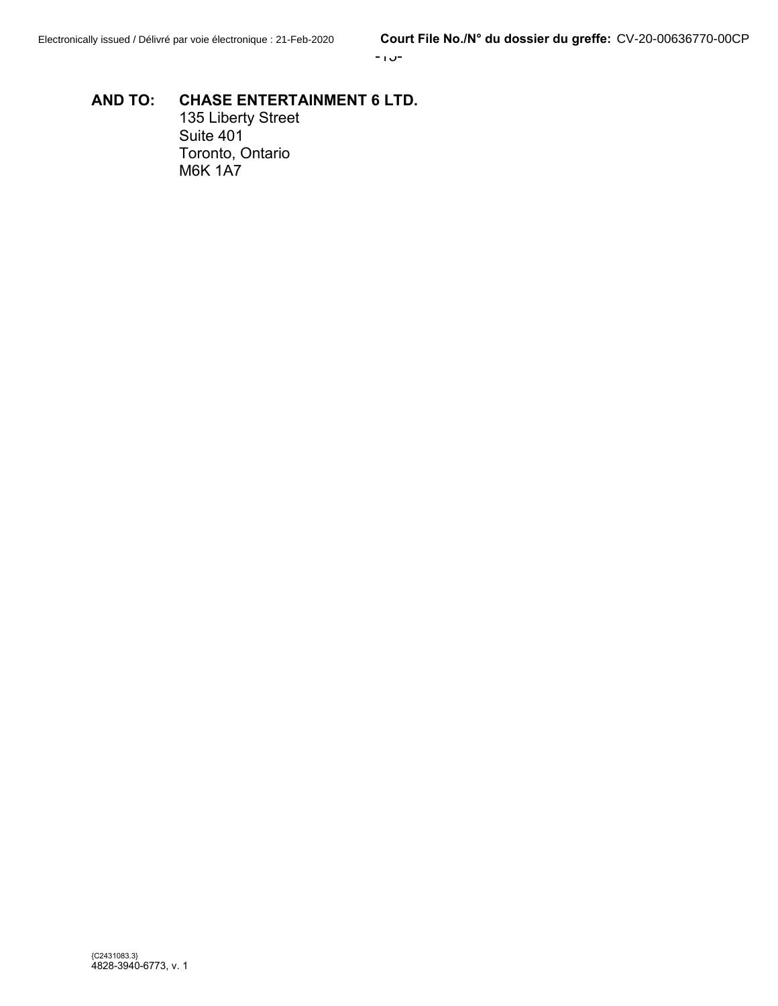# **AND TO: CHASE ENTERTAINMENT 6 LTD.**

135 Liberty Street Suite 401 Toronto, Ontario M6K 1A7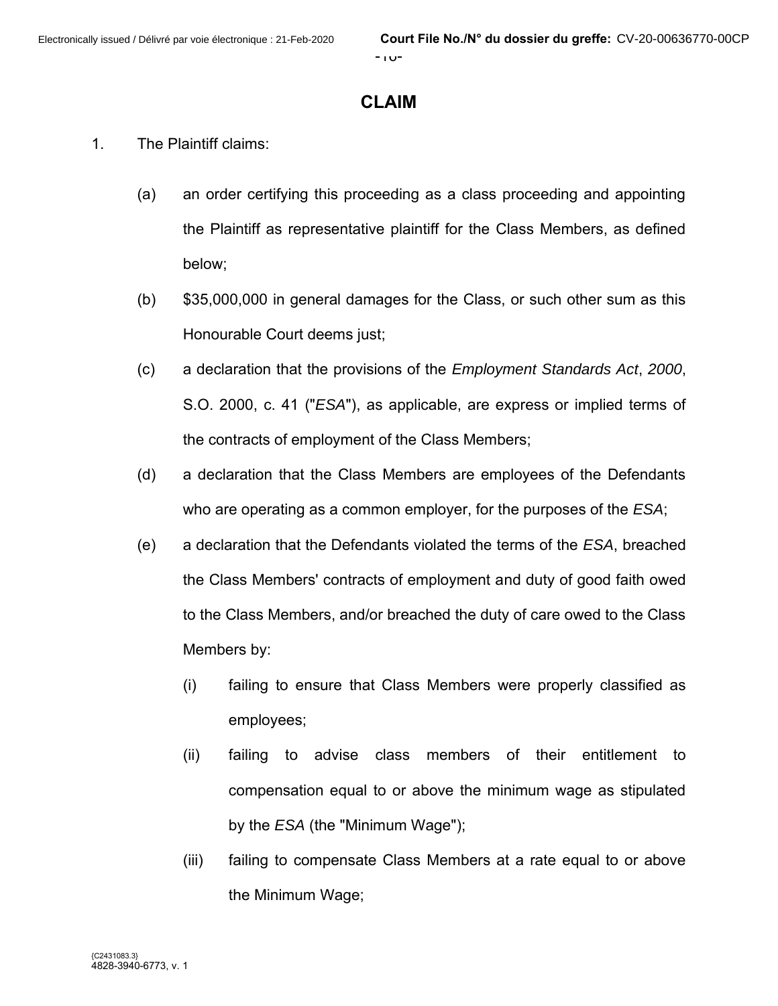## **CLAIM**

- 1. The Plaintiff claims:
	- (a) an order certifying this proceeding as a class proceeding and appointing the Plaintiff as representative plaintiff for the Class Members, as defined below;
	- (b) \$35,000,000 in general damages for the Class, or such other sum as this Honourable Court deems just;
	- (c) a declaration that the provisions of the *Employment Standards Act*, *2000*, S.O. 2000, c. 41 ("*ESA*"), as applicable, are express or implied terms of the contracts of employment of the Class Members;
	- (d) a declaration that the Class Members are employees of the Defendants who are operating as a common employer, for the purposes of the *ESA*;
	- (e) a declaration that the Defendants violated the terms of the *ESA*, breached the Class Members' contracts of employment and duty of good faith owed to the Class Members, and/or breached the duty of care owed to the Class Members by:
		- (i) failing to ensure that Class Members were properly classified as employees;
		- (ii) failing to advise class members of their entitlement to compensation equal to or above the minimum wage as stipulated by the *ESA* (the "Minimum Wage");
		- (iii) failing to compensate Class Members at a rate equal to or above the Minimum Wage;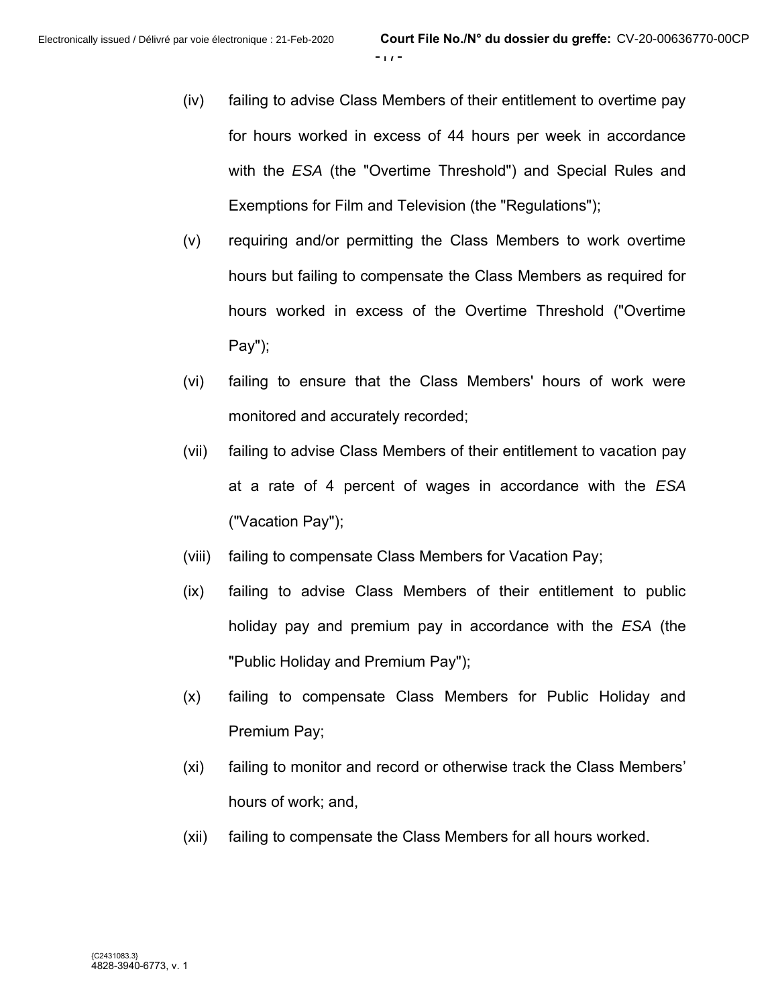- (iv) failing to advise Class Members of their entitlement to overtime pay for hours worked in excess of 44 hours per week in accordance with the *ESA* (the "Overtime Threshold") and Special Rules and Exemptions for Film and Television (the "Regulations");
- (v) requiring and/or permitting the Class Members to work overtime hours but failing to compensate the Class Members as required for hours worked in excess of the Overtime Threshold ("Overtime Pay");
- (vi) failing to ensure that the Class Members' hours of work were monitored and accurately recorded;
- (vii) failing to advise Class Members of their entitlement to vacation pay at a rate of 4 percent of wages in accordance with the *ESA* ("Vacation Pay");
- (viii) failing to compensate Class Members for Vacation Pay;
- (ix) failing to advise Class Members of their entitlement to public holiday pay and premium pay in accordance with the *ESA* (the "Public Holiday and Premium Pay");
- (x) failing to compensate Class Members for Public Holiday and Premium Pay;
- (xi) failing to monitor and record or otherwise track the Class Members' hours of work; and,
- (xii) failing to compensate the Class Members for all hours worked.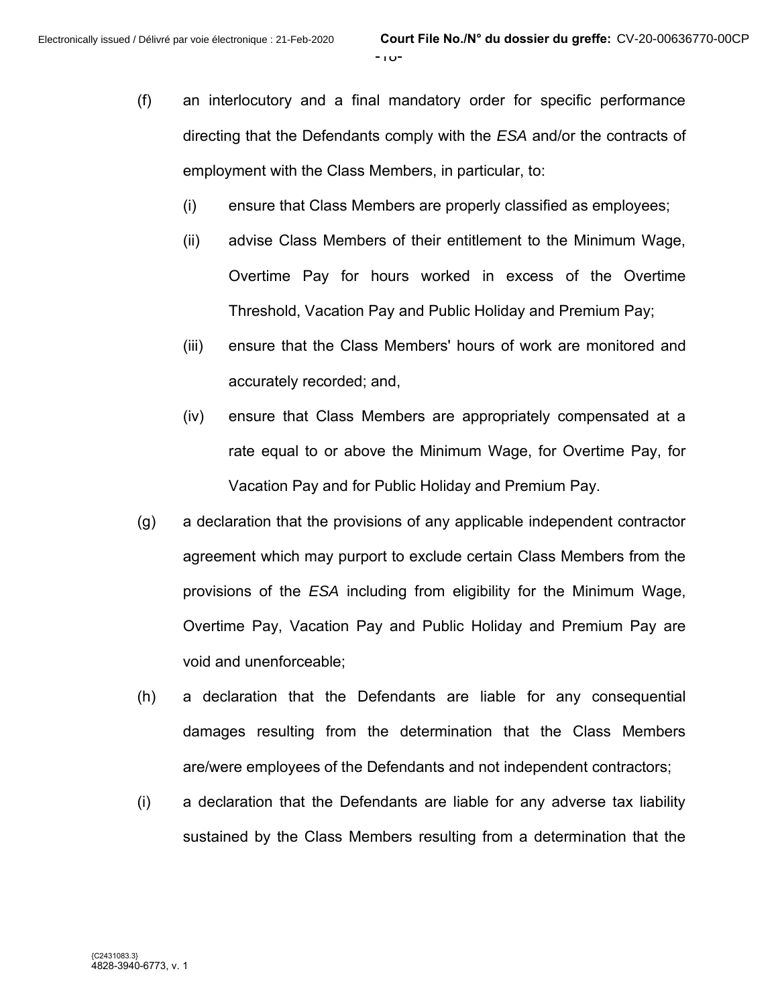- (f) an interlocutory and a final mandatory order for specific performance directing that the Defendants comply with the *ESA* and/or the contracts of employment with the Class Members, in particular, to:
	- (i) ensure that Class Members are properly classified as employees;
	- (ii) advise Class Members of their entitlement to the Minimum Wage, Overtime Pay for hours worked in excess of the Overtime Threshold, Vacation Pay and Public Holiday and Premium Pay;
	- (iii) ensure that the Class Members' hours of work are monitored and accurately recorded; and,
	- (iv) ensure that Class Members are appropriately compensated at a rate equal to or above the Minimum Wage, for Overtime Pay, for Vacation Pay and for Public Holiday and Premium Pay.
- (g) a declaration that the provisions of any applicable independent contractor agreement which may purport to exclude certain Class Members from the provisions of the *ESA* including from eligibility for the Minimum Wage, Overtime Pay, Vacation Pay and Public Holiday and Premium Pay are void and unenforceable;
- (h) a declaration that the Defendants are liable for any consequential damages resulting from the determination that the Class Members are/were employees of the Defendants and not independent contractors;
- (i) a declaration that the Defendants are liable for any adverse tax liability sustained by the Class Members resulting from a determination that the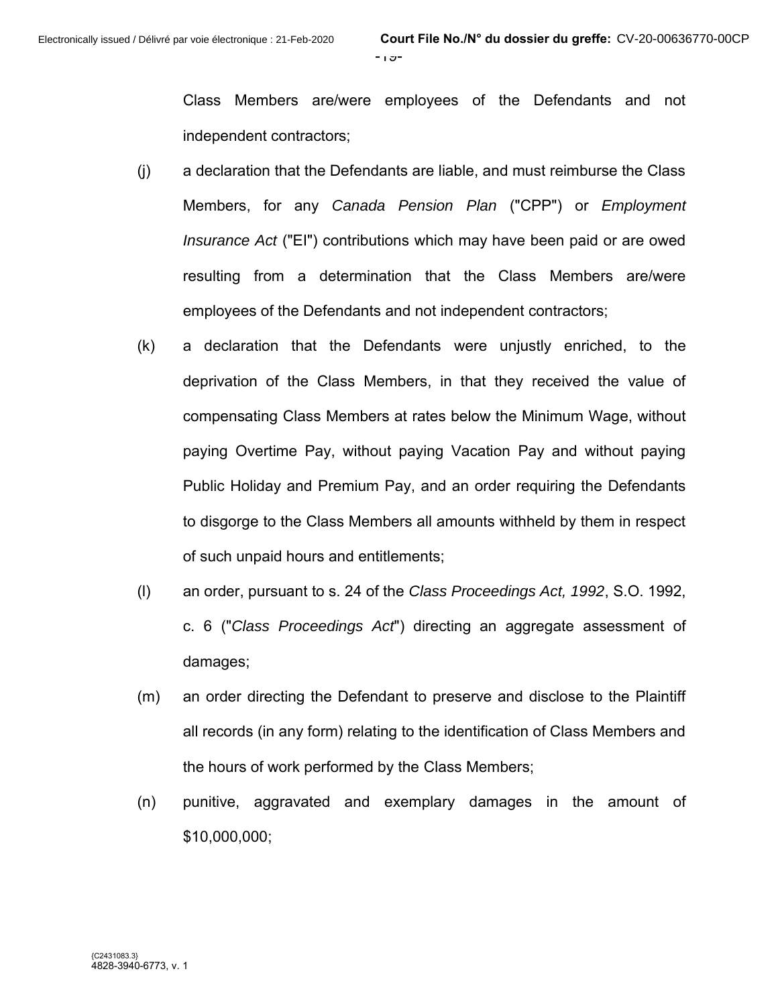Class Members are/were employees of the Defendants and not independent contractors;

- (j) a declaration that the Defendants are liable, and must reimburse the Class Members, for any *Canada Pension Plan* ("CPP") or *Employment Insurance Act* ("EI") contributions which may have been paid or are owed resulting from a determination that the Class Members are/were employees of the Defendants and not independent contractors;
- (k) a declaration that the Defendants were unjustly enriched, to the deprivation of the Class Members, in that they received the value of compensating Class Members at rates below the Minimum Wage, without paying Overtime Pay, without paying Vacation Pay and without paying Public Holiday and Premium Pay, and an order requiring the Defendants to disgorge to the Class Members all amounts withheld by them in respect of such unpaid hours and entitlements;
- (l) an order, pursuant to s. 24 of the *Class Proceedings Act, 1992*, S.O. 1992, c. 6 ("*Class Proceedings Act*") directing an aggregate assessment of damages;
- (m) an order directing the Defendant to preserve and disclose to the Plaintiff all records (in any form) relating to the identification of Class Members and the hours of work performed by the Class Members;
- (n) punitive, aggravated and exemplary damages in the amount of \$10,000,000;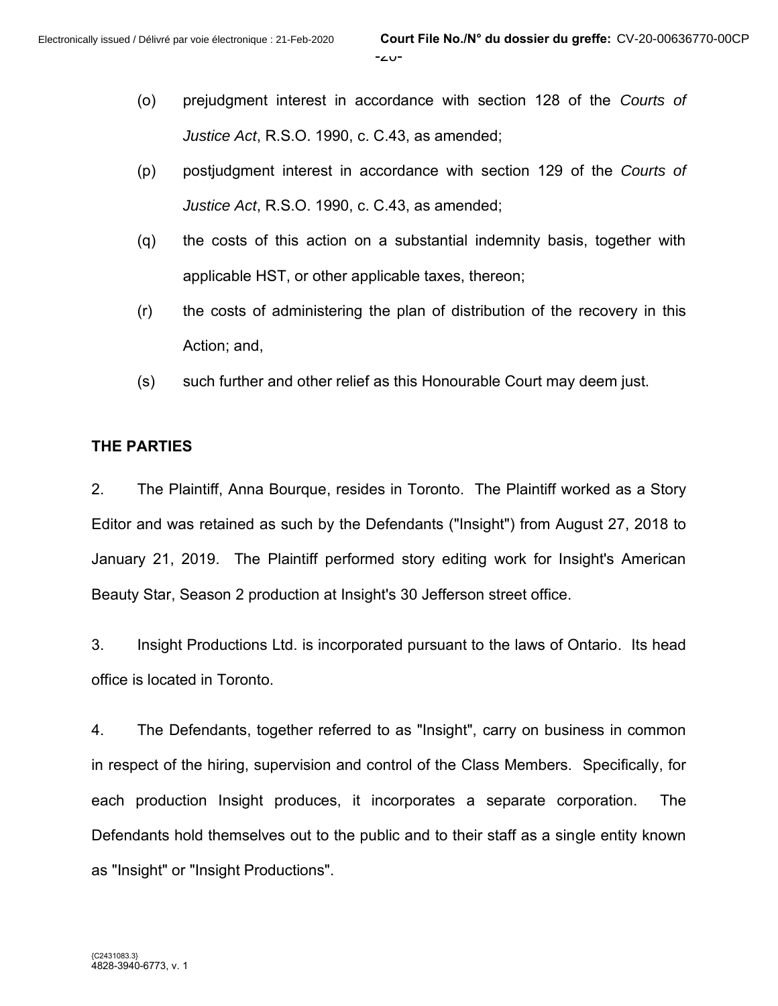- (o) prejudgment interest in accordance with section 128 of the *Courts of Justice Act*, R.S.O. 1990, c. C.43, as amended;
- (p) postjudgment interest in accordance with section 129 of the *Courts of Justice Act*, R.S.O. 1990, c. C.43, as amended;
- (q) the costs of this action on a substantial indemnity basis, together with applicable HST, or other applicable taxes, thereon;
- (r) the costs of administering the plan of distribution of the recovery in this Action; and,
- (s) such further and other relief as this Honourable Court may deem just.

#### **THE PARTIES**

2. The Plaintiff, Anna Bourque, resides in Toronto. The Plaintiff worked as a Story Editor and was retained as such by the Defendants ("Insight") from August 27, 2018 to January 21, 2019. The Plaintiff performed story editing work for Insight's American Beauty Star, Season 2 production at Insight's 30 Jefferson street office.

3. Insight Productions Ltd. is incorporated pursuant to the laws of Ontario. Its head office is located in Toronto.

4. The Defendants, together referred to as "Insight", carry on business in common in respect of the hiring, supervision and control of the Class Members. Specifically, for each production Insight produces, it incorporates a separate corporation. The Defendants hold themselves out to the public and to their staff as a single entity known as "Insight" or "Insight Productions".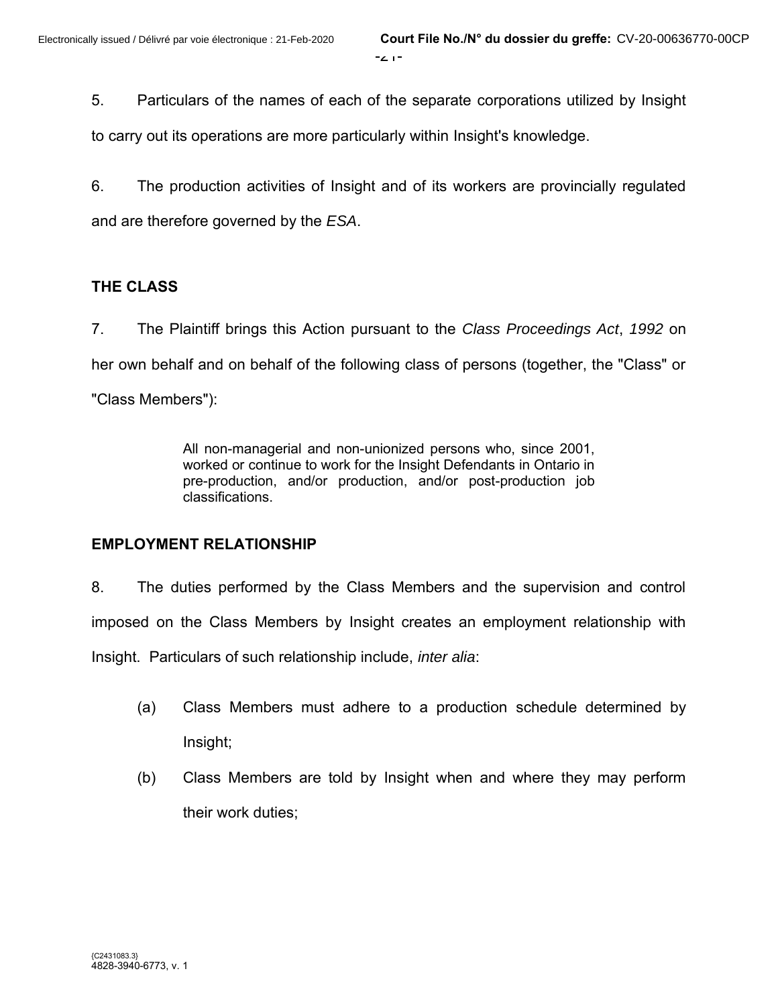5. Particulars of the names of each of the separate corporations utilized by Insight

to carry out its operations are more particularly within Insight's knowledge.

6. The production activities of Insight and of its workers are provincially regulated and are therefore governed by the *ESA*.

## **THE CLASS**

7. The Plaintiff brings this Action pursuant to the *Class Proceedings Act*, *1992* on her own behalf and on behalf of the following class of persons (together, the "Class" or "Class Members"):

> All non-managerial and non-unionized persons who, since 2001, worked or continue to work for the Insight Defendants in Ontario in pre-production, and/or production, and/or post-production job classifications.

## **EMPLOYMENT RELATIONSHIP**

8. The duties performed by the Class Members and the supervision and control imposed on the Class Members by Insight creates an employment relationship with Insight. Particulars of such relationship include, *inter alia*:

- (a) Class Members must adhere to a production schedule determined by Insight;
- (b) Class Members are told by Insight when and where they may perform their work duties;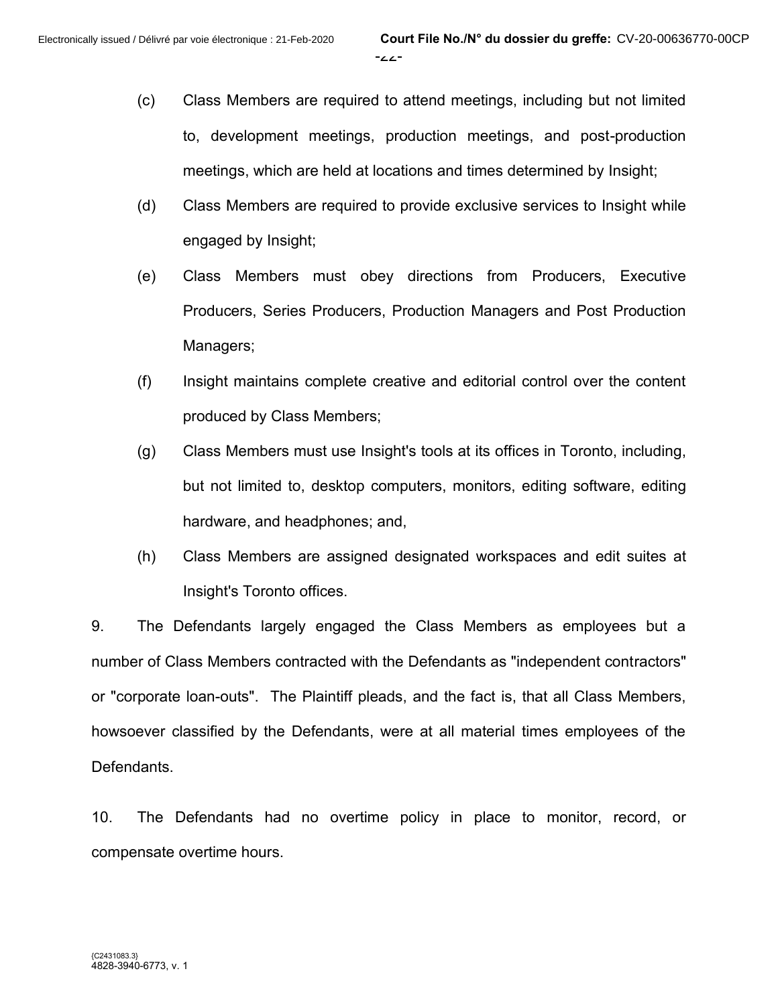- (c) Class Members are required to attend meetings, including but not limited to, development meetings, production meetings, and post-production meetings, which are held at locations and times determined by Insight;
- (d) Class Members are required to provide exclusive services to Insight while engaged by Insight;
- (e) Class Members must obey directions from Producers, Executive Producers, Series Producers, Production Managers and Post Production Managers;
- (f) Insight maintains complete creative and editorial control over the content produced by Class Members;
- (g) Class Members must use Insight's tools at its offices in Toronto, including, but not limited to, desktop computers, monitors, editing software, editing hardware, and headphones; and,
- (h) Class Members are assigned designated workspaces and edit suites at Insight's Toronto offices.

9. The Defendants largely engaged the Class Members as employees but a number of Class Members contracted with the Defendants as "independent contractors" or "corporate loan-outs". The Plaintiff pleads, and the fact is, that all Class Members, howsoever classified by the Defendants, were at all material times employees of the Defendants.

10. The Defendants had no overtime policy in place to monitor, record, or compensate overtime hours.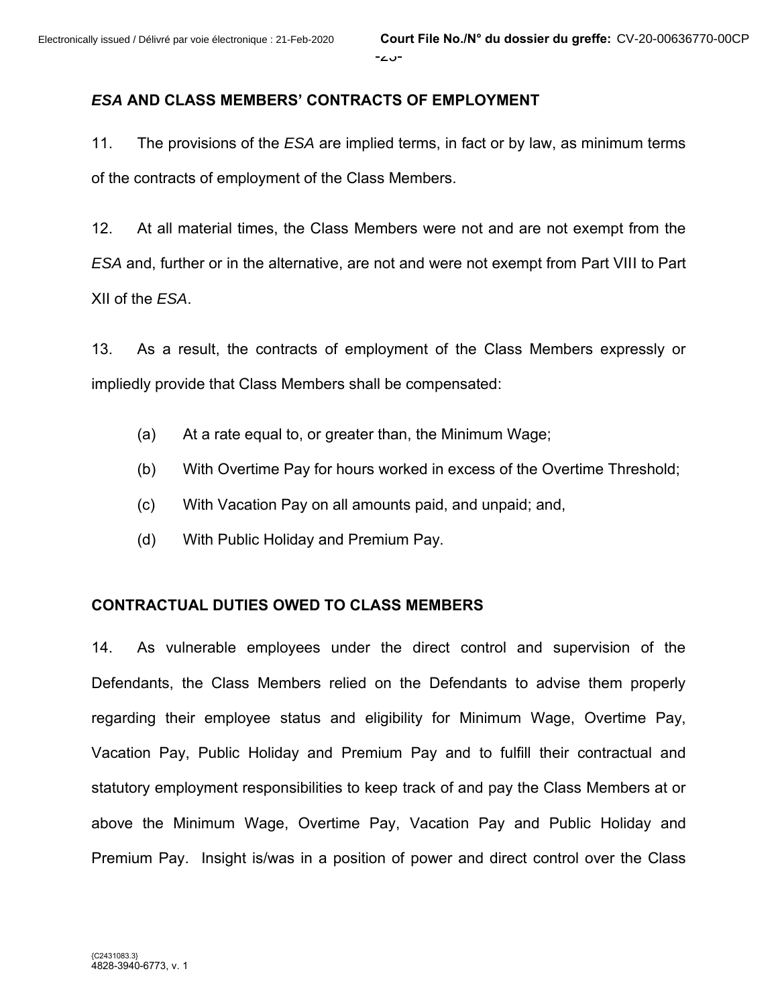### *ESA* **AND CLASS MEMBERS' CONTRACTS OF EMPLOYMENT**

11. The provisions of the *ESA* are implied terms, in fact or by law, as minimum terms of the contracts of employment of the Class Members.

12. At all material times, the Class Members were not and are not exempt from the *ESA* and, further or in the alternative, are not and were not exempt from Part VIII to Part XII of the *ESA*.

13. As a result, the contracts of employment of the Class Members expressly or impliedly provide that Class Members shall be compensated:

- (a) At a rate equal to, or greater than, the Minimum Wage;
- (b) With Overtime Pay for hours worked in excess of the Overtime Threshold;
- (c) With Vacation Pay on all amounts paid, and unpaid; and,
- (d) With Public Holiday and Premium Pay.

#### **CONTRACTUAL DUTIES OWED TO CLASS MEMBERS**

14. As vulnerable employees under the direct control and supervision of the Defendants, the Class Members relied on the Defendants to advise them properly regarding their employee status and eligibility for Minimum Wage, Overtime Pay, Vacation Pay, Public Holiday and Premium Pay and to fulfill their contractual and statutory employment responsibilities to keep track of and pay the Class Members at or above the Minimum Wage, Overtime Pay, Vacation Pay and Public Holiday and Premium Pay. Insight is/was in a position of power and direct control over the Class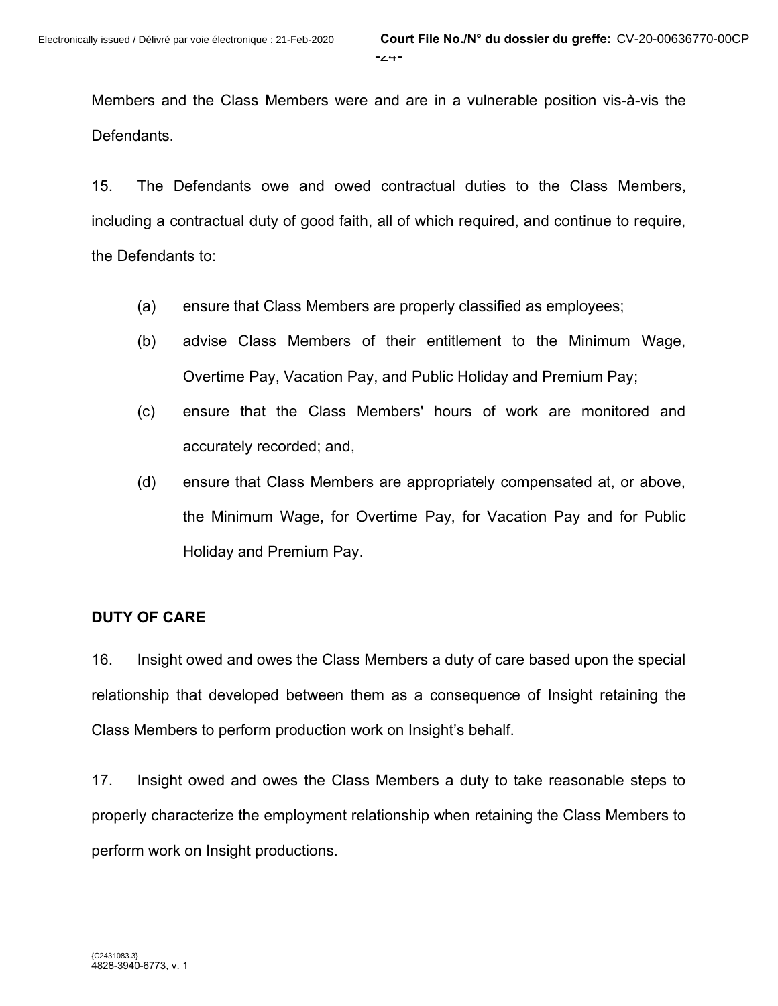Members and the Class Members were and are in a vulnerable position vis-à-vis the Defendants.

15. The Defendants owe and owed contractual duties to the Class Members, including a contractual duty of good faith, all of which required, and continue to require, the Defendants to:

- (a) ensure that Class Members are properly classified as employees;
- (b) advise Class Members of their entitlement to the Minimum Wage, Overtime Pay, Vacation Pay, and Public Holiday and Premium Pay;
- (c) ensure that the Class Members' hours of work are monitored and accurately recorded; and,
- (d) ensure that Class Members are appropriately compensated at, or above, the Minimum Wage, for Overtime Pay, for Vacation Pay and for Public Holiday and Premium Pay.

## **DUTY OF CARE**

16. Insight owed and owes the Class Members a duty of care based upon the special relationship that developed between them as a consequence of Insight retaining the Class Members to perform production work on Insight's behalf.

17. Insight owed and owes the Class Members a duty to take reasonable steps to properly characterize the employment relationship when retaining the Class Members to perform work on Insight productions.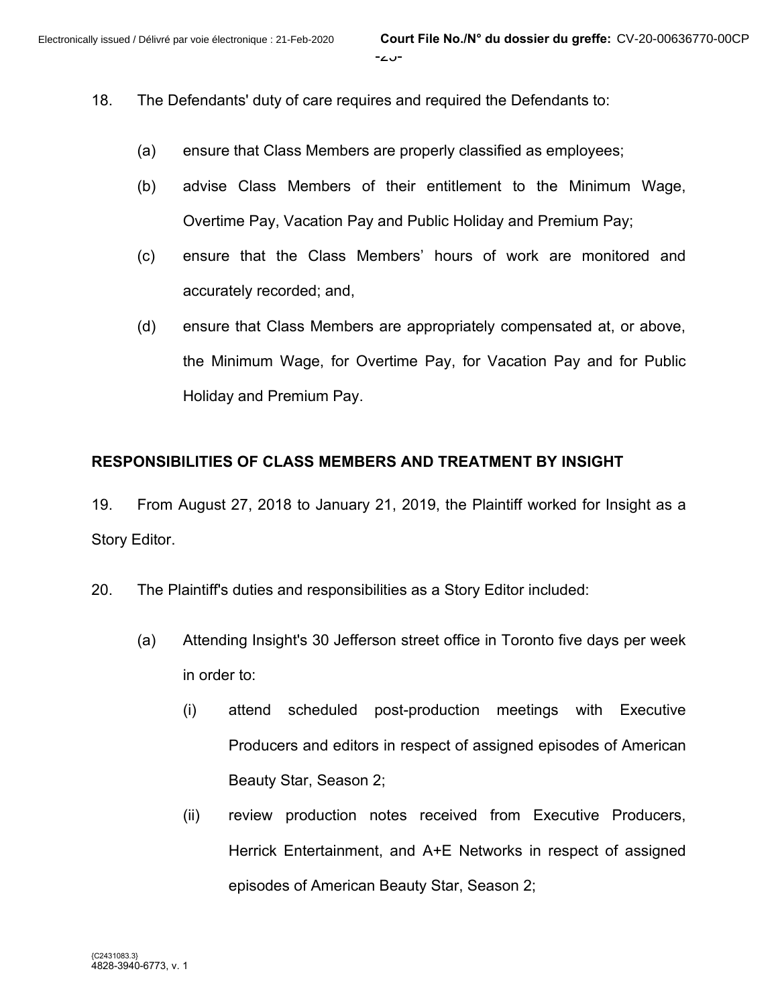- 18. The Defendants' duty of care requires and required the Defendants to:
	- (a) ensure that Class Members are properly classified as employees;
	- (b) advise Class Members of their entitlement to the Minimum Wage, Overtime Pay, Vacation Pay and Public Holiday and Premium Pay;
	- (c) ensure that the Class Members' hours of work are monitored and accurately recorded; and,
	- (d) ensure that Class Members are appropriately compensated at, or above, the Minimum Wage, for Overtime Pay, for Vacation Pay and for Public Holiday and Premium Pay.

## **RESPONSIBILITIES OF CLASS MEMBERS AND TREATMENT BY INSIGHT**

19. From August 27, 2018 to January 21, 2019, the Plaintiff worked for Insight as a Story Editor.

20. The Plaintiff's duties and responsibilities as a Story Editor included:

- (a) Attending Insight's 30 Jefferson street office in Toronto five days per week in order to:
	- (i) attend scheduled post-production meetings with Executive Producers and editors in respect of assigned episodes of American Beauty Star, Season 2;
	- (ii) review production notes received from Executive Producers, Herrick Entertainment, and A+E Networks in respect of assigned episodes of American Beauty Star, Season 2;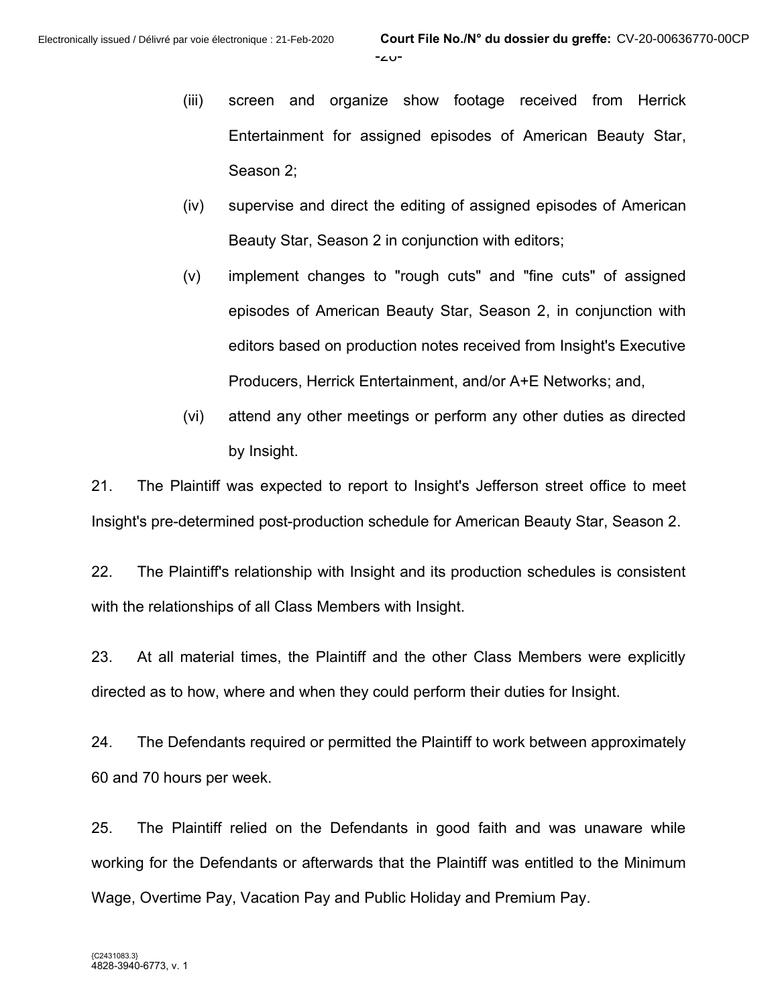- (iii) screen and organize show footage received from Herrick Entertainment for assigned episodes of American Beauty Star, Season 2;
- (iv) supervise and direct the editing of assigned episodes of American Beauty Star, Season 2 in conjunction with editors;
- (v) implement changes to "rough cuts" and "fine cuts" of assigned episodes of American Beauty Star, Season 2, in conjunction with editors based on production notes received from Insight's Executive Producers, Herrick Entertainment, and/or A+E Networks; and,
- (vi) attend any other meetings or perform any other duties as directed by Insight.

21. The Plaintiff was expected to report to Insight's Jefferson street office to meet Insight's pre-determined post-production schedule for American Beauty Star, Season 2.

22. The Plaintiff's relationship with Insight and its production schedules is consistent with the relationships of all Class Members with Insight.

23. At all material times, the Plaintiff and the other Class Members were explicitly directed as to how, where and when they could perform their duties for Insight.

24. The Defendants required or permitted the Plaintiff to work between approximately 60 and 70 hours per week.

25. The Plaintiff relied on the Defendants in good faith and was unaware while working for the Defendants or afterwards that the Plaintiff was entitled to the Minimum Wage, Overtime Pay, Vacation Pay and Public Holiday and Premium Pay.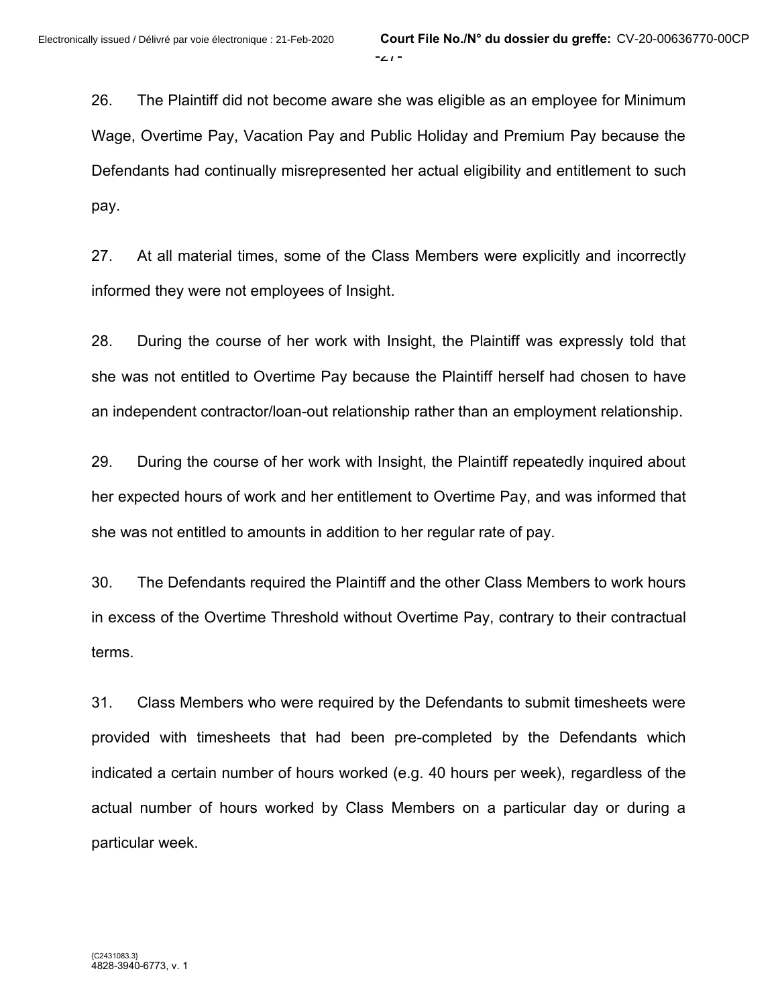26. The Plaintiff did not become aware she was eligible as an employee for Minimum Wage, Overtime Pay, Vacation Pay and Public Holiday and Premium Pay because the Defendants had continually misrepresented her actual eligibility and entitlement to such pay.

27. At all material times, some of the Class Members were explicitly and incorrectly informed they were not employees of Insight.

28. During the course of her work with Insight, the Plaintiff was expressly told that she was not entitled to Overtime Pay because the Plaintiff herself had chosen to have an independent contractor/loan-out relationship rather than an employment relationship.

29. During the course of her work with Insight, the Plaintiff repeatedly inquired about her expected hours of work and her entitlement to Overtime Pay, and was informed that she was not entitled to amounts in addition to her regular rate of pay.

30. The Defendants required the Plaintiff and the other Class Members to work hours in excess of the Overtime Threshold without Overtime Pay, contrary to their contractual terms.

31. Class Members who were required by the Defendants to submit timesheets were provided with timesheets that had been pre-completed by the Defendants which indicated a certain number of hours worked (e.g. 40 hours per week), regardless of the actual number of hours worked by Class Members on a particular day or during a particular week.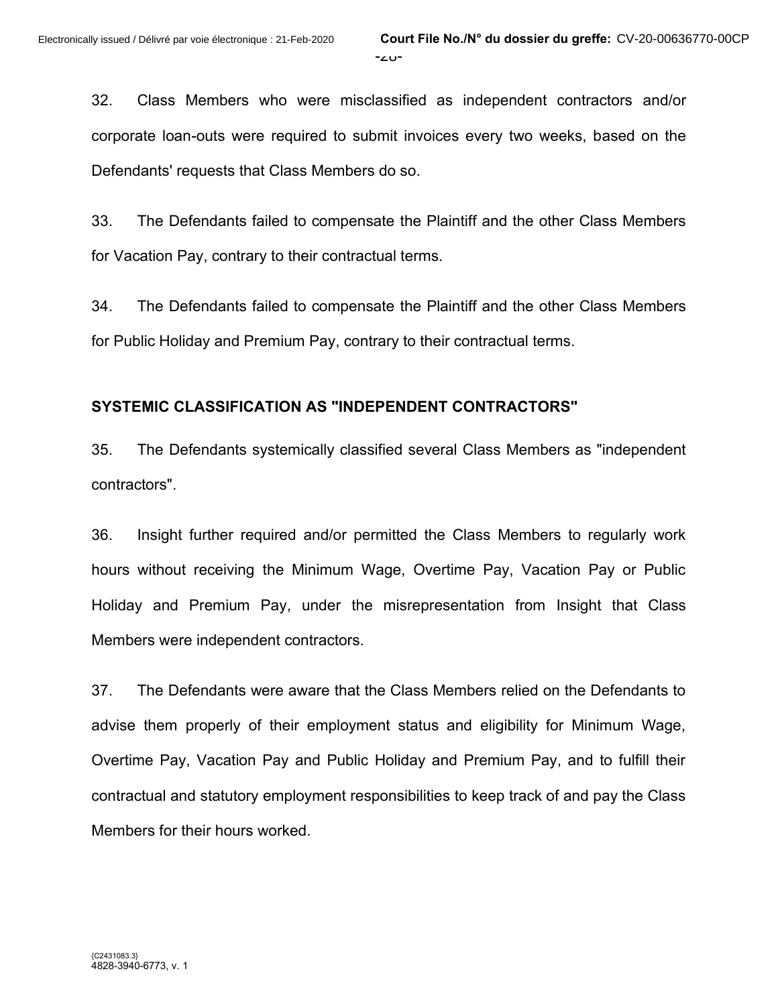32. Class Members who were misclassified as independent contractors and/or corporate loan-outs were required to submit invoices every two weeks, based on the Defendants' requests that Class Members do so.

33. The Defendants failed to compensate the Plaintiff and the other Class Members for Vacation Pay, contrary to their contractual terms.

34. The Defendants failed to compensate the Plaintiff and the other Class Members for Public Holiday and Premium Pay, contrary to their contractual terms.

## **SYSTEMIC CLASSIFICATION AS "INDEPENDENT CONTRACTORS"**

35. The Defendants systemically classified several Class Members as "independent contractors".

36. Insight further required and/or permitted the Class Members to regularly work hours without receiving the Minimum Wage, Overtime Pay, Vacation Pay or Public Holiday and Premium Pay, under the misrepresentation from Insight that Class Members were independent contractors.

37. The Defendants were aware that the Class Members relied on the Defendants to advise them properly of their employment status and eligibility for Minimum Wage, Overtime Pay, Vacation Pay and Public Holiday and Premium Pay, and to fulfill their contractual and statutory employment responsibilities to keep track of and pay the Class Members for their hours worked.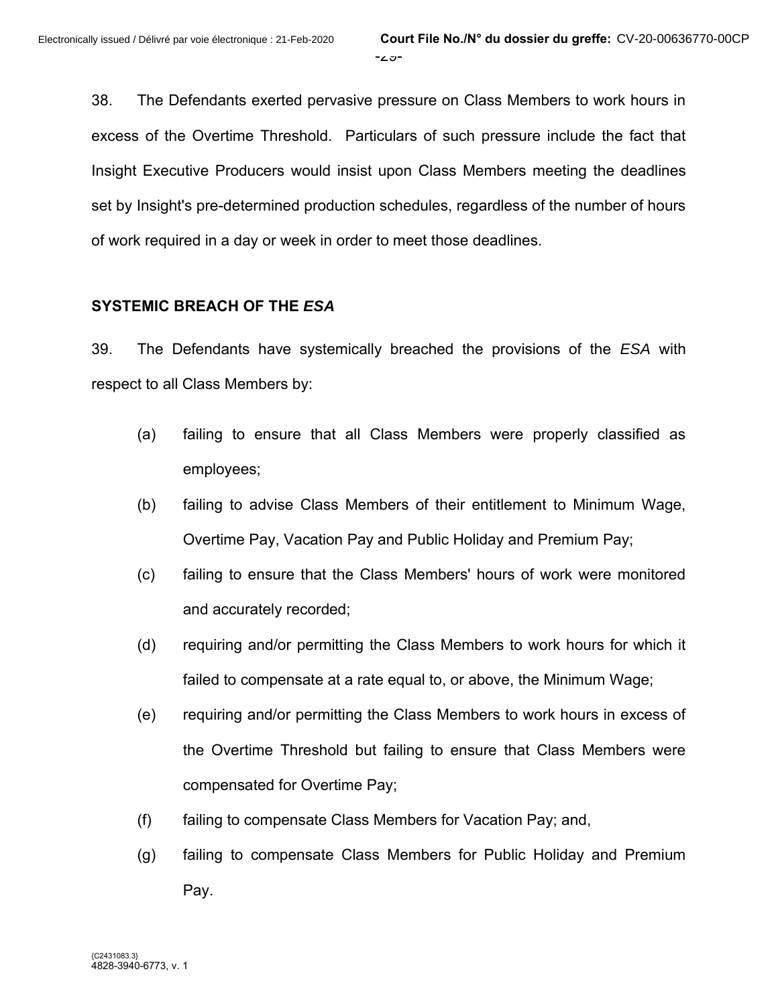38. The Defendants exerted pervasive pressure on Class Members to work hours in excess of the Overtime Threshold. Particulars of such pressure include the fact that Insight Executive Producers would insist upon Class Members meeting the deadlines set by Insight's pre-determined production schedules, regardless of the number of hours of work required in a day or week in order to meet those deadlines.

## **SYSTEMIC BREACH OF THE** *ESA*

39. The Defendants have systemically breached the provisions of the *ESA* with respect to all Class Members by:

- (a) failing to ensure that all Class Members were properly classified as employees;
- (b) failing to advise Class Members of their entitlement to Minimum Wage, Overtime Pay, Vacation Pay and Public Holiday and Premium Pay;
- (c) failing to ensure that the Class Members' hours of work were monitored and accurately recorded;
- (d) requiring and/or permitting the Class Members to work hours for which it failed to compensate at a rate equal to, or above, the Minimum Wage;
- (e) requiring and/or permitting the Class Members to work hours in excess of the Overtime Threshold but failing to ensure that Class Members were compensated for Overtime Pay;
- (f) failing to compensate Class Members for Vacation Pay; and,
- (g) failing to compensate Class Members for Public Holiday and Premium Pay.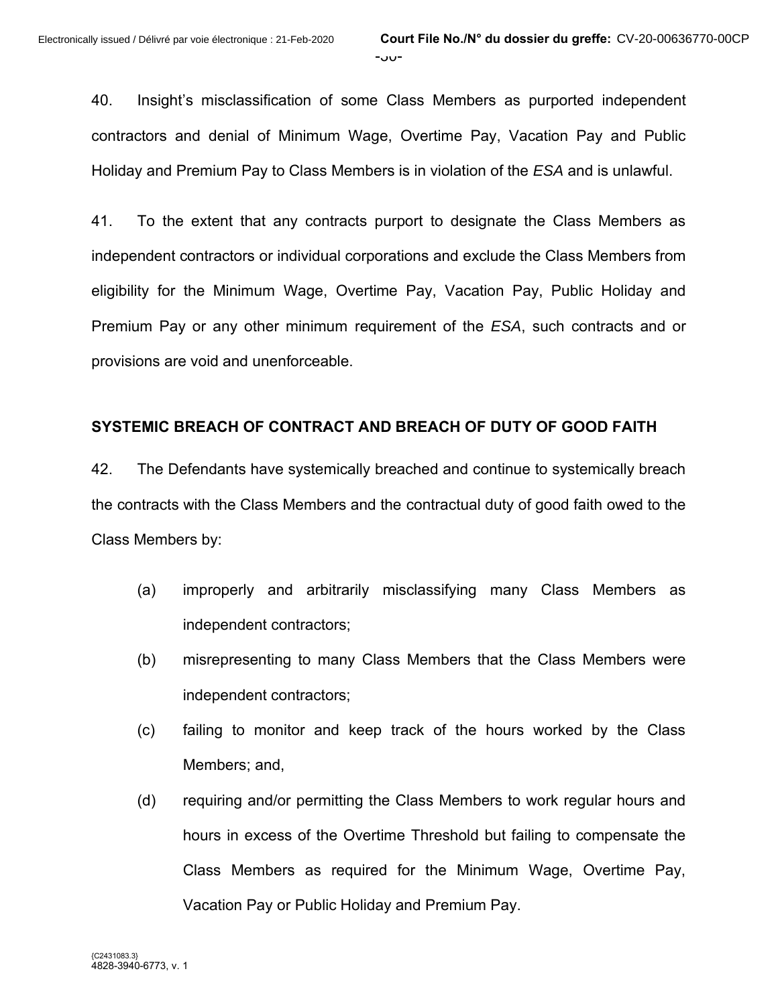40. Insight's misclassification of some Class Members as purported independent contractors and denial of Minimum Wage, Overtime Pay, Vacation Pay and Public Holiday and Premium Pay to Class Members is in violation of the *ESA* and is unlawful.

41. To the extent that any contracts purport to designate the Class Members as independent contractors or individual corporations and exclude the Class Members from eligibility for the Minimum Wage, Overtime Pay, Vacation Pay, Public Holiday and Premium Pay or any other minimum requirement of the *ESA*, such contracts and or provisions are void and unenforceable.

#### **SYSTEMIC BREACH OF CONTRACT AND BREACH OF DUTY OF GOOD FAITH**

42. The Defendants have systemically breached and continue to systemically breach the contracts with the Class Members and the contractual duty of good faith owed to the Class Members by:

- (a) improperly and arbitrarily misclassifying many Class Members as independent contractors;
- (b) misrepresenting to many Class Members that the Class Members were independent contractors;
- (c) failing to monitor and keep track of the hours worked by the Class Members; and,
- (d) requiring and/or permitting the Class Members to work regular hours and hours in excess of the Overtime Threshold but failing to compensate the Class Members as required for the Minimum Wage, Overtime Pay, Vacation Pay or Public Holiday and Premium Pay.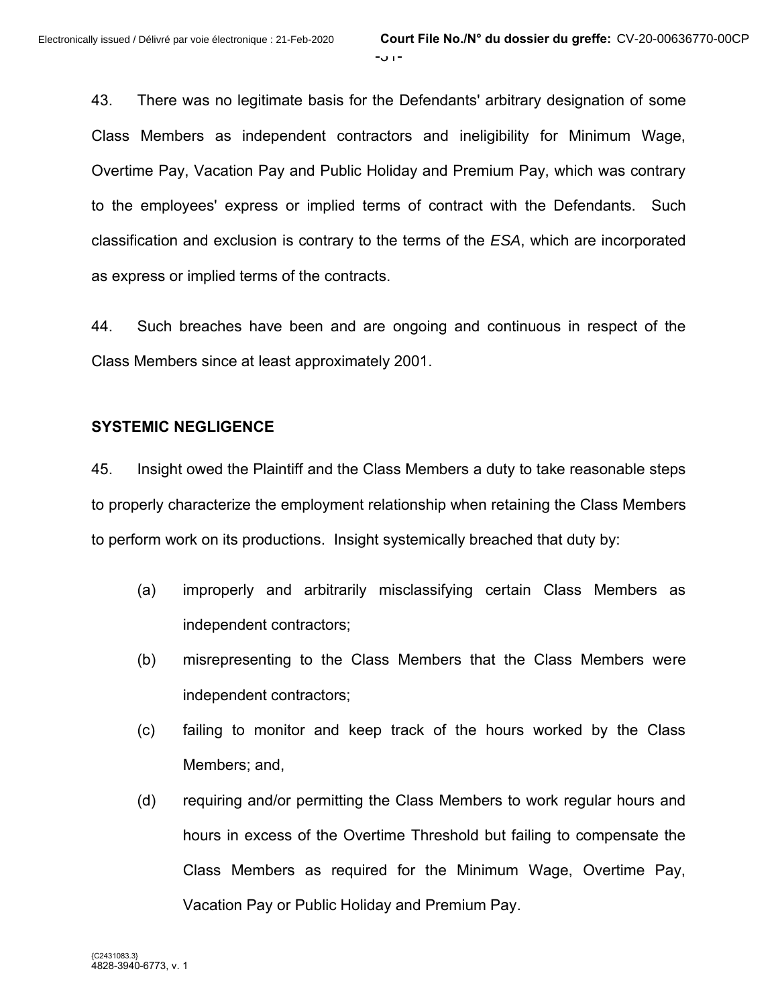43. There was no legitimate basis for the Defendants' arbitrary designation of some Class Members as independent contractors and ineligibility for Minimum Wage, Overtime Pay, Vacation Pay and Public Holiday and Premium Pay, which was contrary to the employees' express or implied terms of contract with the Defendants. Such classification and exclusion is contrary to the terms of the *ESA*, which are incorporated as express or implied terms of the contracts.

44. Such breaches have been and are ongoing and continuous in respect of the Class Members since at least approximately 2001.

#### **SYSTEMIC NEGLIGENCE**

45. Insight owed the Plaintiff and the Class Members a duty to take reasonable steps to properly characterize the employment relationship when retaining the Class Members to perform work on its productions. Insight systemically breached that duty by:

- (a) improperly and arbitrarily misclassifying certain Class Members as independent contractors;
- (b) misrepresenting to the Class Members that the Class Members were independent contractors;
- (c) failing to monitor and keep track of the hours worked by the Class Members; and,
- (d) requiring and/or permitting the Class Members to work regular hours and hours in excess of the Overtime Threshold but failing to compensate the Class Members as required for the Minimum Wage, Overtime Pay, Vacation Pay or Public Holiday and Premium Pay.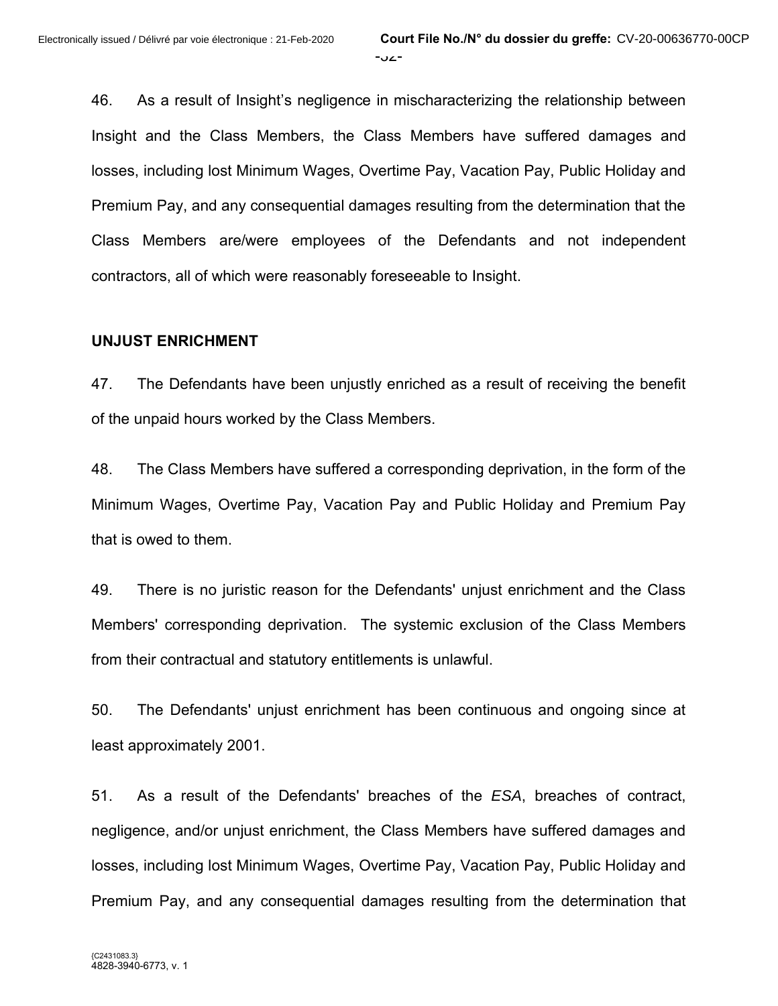46. As a result of Insight's negligence in mischaracterizing the relationship between Insight and the Class Members, the Class Members have suffered damages and losses, including lost Minimum Wages, Overtime Pay, Vacation Pay, Public Holiday and Premium Pay, and any consequential damages resulting from the determination that the Class Members are/were employees of the Defendants and not independent contractors, all of which were reasonably foreseeable to Insight.

#### **UNJUST ENRICHMENT**

47. The Defendants have been unjustly enriched as a result of receiving the benefit of the unpaid hours worked by the Class Members.

48. The Class Members have suffered a corresponding deprivation, in the form of the Minimum Wages, Overtime Pay, Vacation Pay and Public Holiday and Premium Pay that is owed to them.

49. There is no juristic reason for the Defendants' unjust enrichment and the Class Members' corresponding deprivation. The systemic exclusion of the Class Members from their contractual and statutory entitlements is unlawful.

50. The Defendants' unjust enrichment has been continuous and ongoing since at least approximately 2001.

51. As a result of the Defendants' breaches of the *ESA*, breaches of contract, negligence, and/or unjust enrichment, the Class Members have suffered damages and losses, including lost Minimum Wages, Overtime Pay, Vacation Pay, Public Holiday and Premium Pay, and any consequential damages resulting from the determination that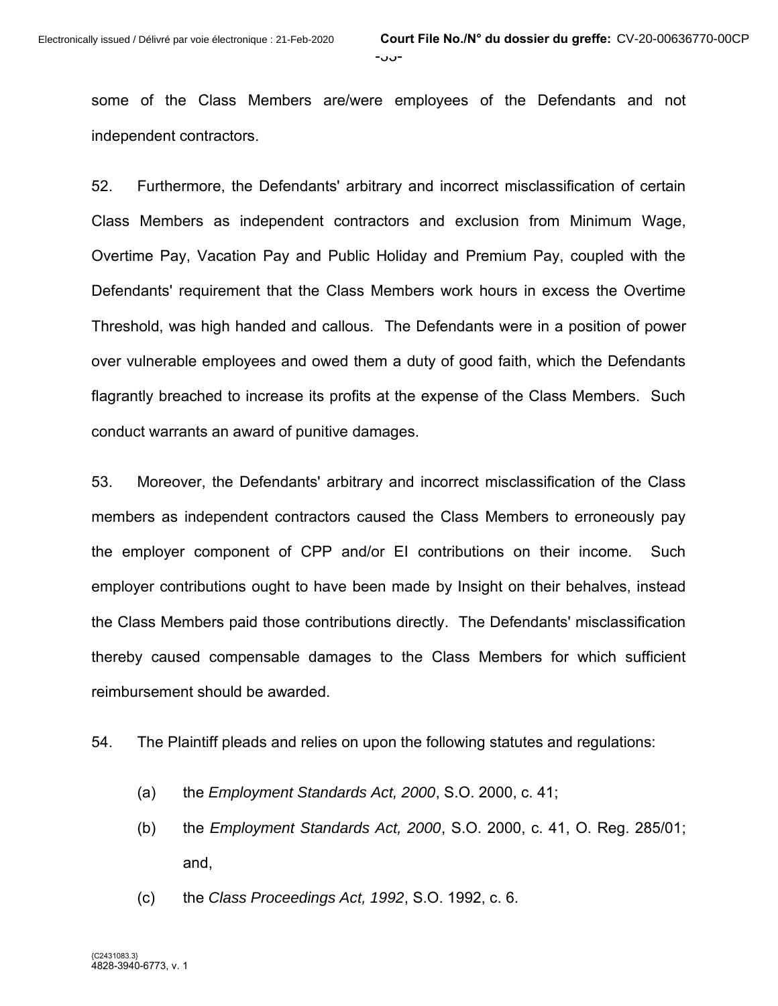some of the Class Members are/were employees of the Defendants and not independent contractors.

52. Furthermore, the Defendants' arbitrary and incorrect misclassification of certain Class Members as independent contractors and exclusion from Minimum Wage, Overtime Pay, Vacation Pay and Public Holiday and Premium Pay, coupled with the Defendants' requirement that the Class Members work hours in excess the Overtime Threshold, was high handed and callous. The Defendants were in a position of power over vulnerable employees and owed them a duty of good faith, which the Defendants flagrantly breached to increase its profits at the expense of the Class Members. Such conduct warrants an award of punitive damages.

53. Moreover, the Defendants' arbitrary and incorrect misclassification of the Class members as independent contractors caused the Class Members to erroneously pay the employer component of CPP and/or EI contributions on their income. Such employer contributions ought to have been made by Insight on their behalves, instead the Class Members paid those contributions directly. The Defendants' misclassification thereby caused compensable damages to the Class Members for which sufficient reimbursement should be awarded.

- 54. The Plaintiff pleads and relies on upon the following statutes and regulations:
	- (a) the *Employment Standards Act, 2000*, S.O. 2000, c. 41;
	- (b) the *Employment Standards Act, 2000*, S.O. 2000, c. 41, O. Reg. 285/01; and,
	- (c) the *Class Proceedings Act, 1992*, S.O. 1992, c. 6.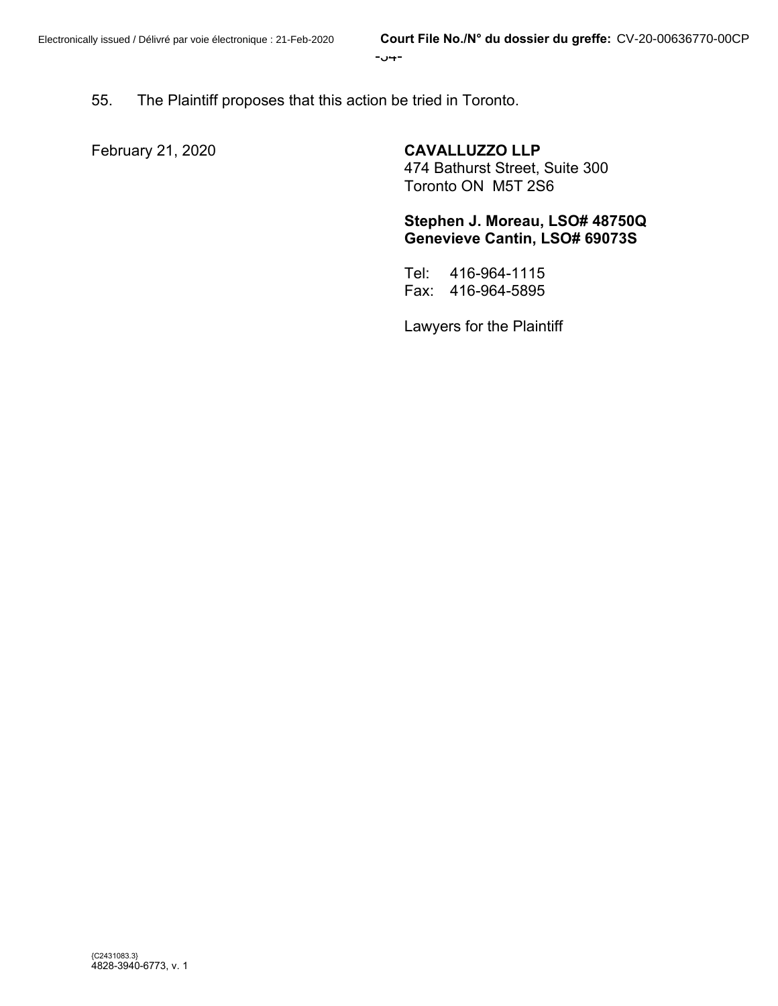-34-

55. The Plaintiff proposes that this action be tried in Toronto.

February 21, 2020 **CAVALLUZZO LLP** 

474 Bathurst Street, Suite 300

Toronto ON M5T 2S6

**Stephen J. Moreau, LSO# 48750Q Genevieve Cantin, LSO# 69073S**

Tel: 416-964-1115 Fax: 416-964-5895

Lawyers for the Plaintiff